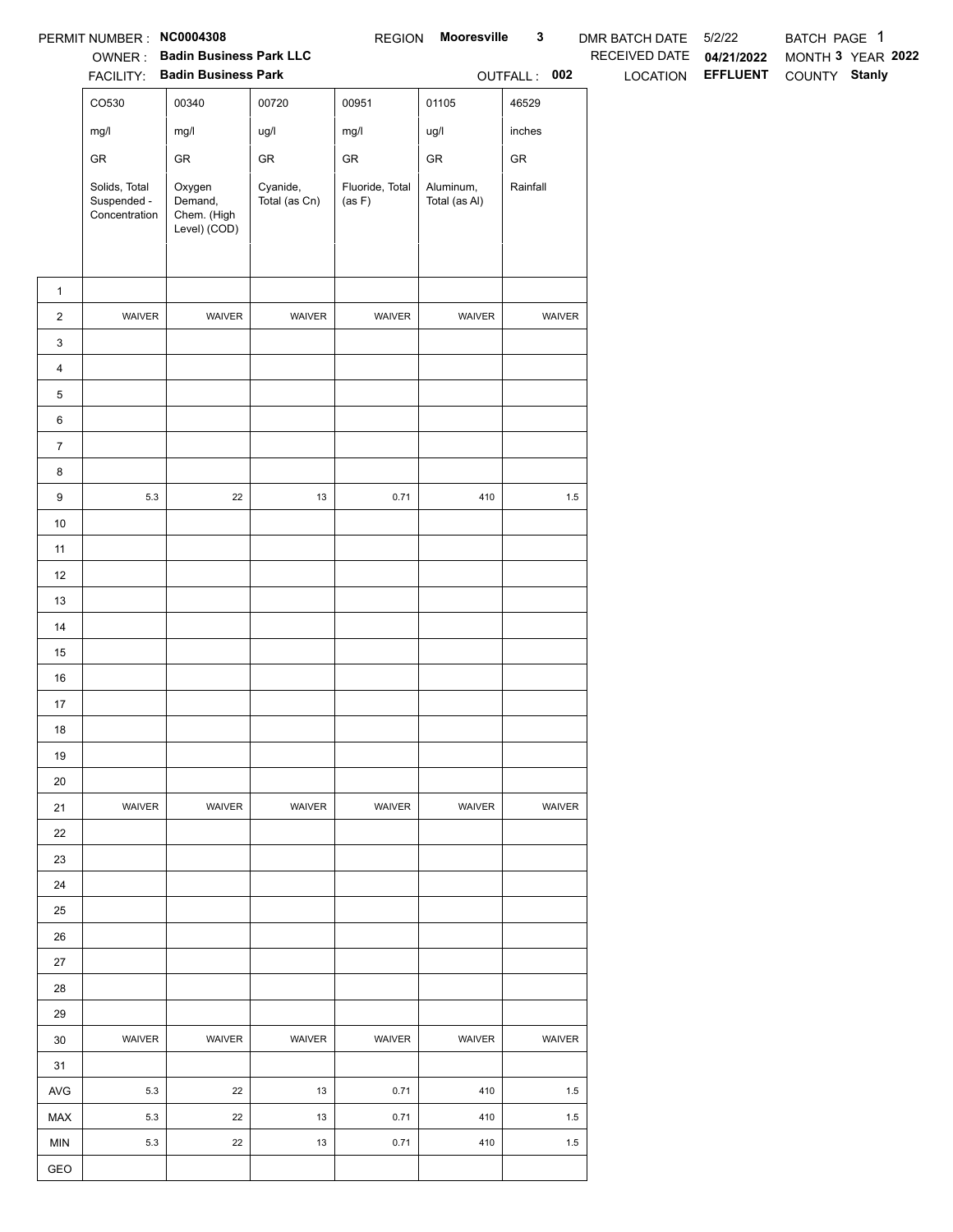|                | PERMIT NUMBER : NC0004308                     |                                                                 |                           | <b>REGION</b>             | <b>Mooresville</b>         | $\mathbf{3}$ | DMR BATCH DATE 5/2/22 |                                 | BATCH PAGE 1                       |  |
|----------------|-----------------------------------------------|-----------------------------------------------------------------|---------------------------|---------------------------|----------------------------|--------------|-----------------------|---------------------------------|------------------------------------|--|
|                |                                               | OWNER: Badin Business Park LLC<br>FACILITY: Badin Business Park |                           |                           |                            | OUTFALL: 002 | RECEIVED DATE         | 04/21/2022<br>LOCATION EFFLUENT | MONTH 3 YEAR 2022<br>COUNTY Stanly |  |
|                |                                               |                                                                 |                           |                           |                            |              |                       |                                 |                                    |  |
|                | CO530                                         | 00340                                                           | 00720                     | 00951                     | 01105                      | 46529        |                       |                                 |                                    |  |
|                | mg/l                                          | mg/l                                                            | ug/l                      | mg/l                      | ug/l                       | inches       |                       |                                 |                                    |  |
|                | ${\sf GR}$                                    | ${\sf GR}$                                                      | ${\sf GR}$                | ${\sf GR}$                | ${\sf GR}$                 | ${\sf GR}$   |                       |                                 |                                    |  |
|                | Solids, Total<br>Suspended -<br>Concentration | Oxygen<br>Demand,<br>Chem. (High<br>Level) (COD)                | Cyanide,<br>Total (as Cn) | Fluoride, Total<br>(as F) | Aluminum,<br>Total (as Al) | Rainfall     |                       |                                 |                                    |  |
| $\mathbf{1}$   |                                               |                                                                 |                           |                           |                            |              |                       |                                 |                                    |  |
| $\overline{2}$ | WAIVER                                        | WAIVER                                                          | WAIVER                    | WAIVER                    | WAIVER                     | WAIVER       |                       |                                 |                                    |  |
| 3              |                                               |                                                                 |                           |                           |                            |              |                       |                                 |                                    |  |
| 4              |                                               |                                                                 |                           |                           |                            |              |                       |                                 |                                    |  |
| 5              |                                               |                                                                 |                           |                           |                            |              |                       |                                 |                                    |  |
| 6              |                                               |                                                                 |                           |                           |                            |              |                       |                                 |                                    |  |
| $\overline{7}$ |                                               |                                                                 |                           |                           |                            |              |                       |                                 |                                    |  |
| 8              |                                               |                                                                 |                           |                           |                            |              |                       |                                 |                                    |  |
| 9              | $5.3\,$                                       | 22                                                              | 13                        | 0.71                      | 410                        | $1.5\,$      |                       |                                 |                                    |  |
| $10\,$         |                                               |                                                                 |                           |                           |                            |              |                       |                                 |                                    |  |
| 11             |                                               |                                                                 |                           |                           |                            |              |                       |                                 |                                    |  |
| 12             |                                               |                                                                 |                           |                           |                            |              |                       |                                 |                                    |  |
| 13             |                                               |                                                                 |                           |                           |                            |              |                       |                                 |                                    |  |
| 14             |                                               |                                                                 |                           |                           |                            |              |                       |                                 |                                    |  |
| 15             |                                               |                                                                 |                           |                           |                            |              |                       |                                 |                                    |  |
| 16             |                                               |                                                                 |                           |                           |                            |              |                       |                                 |                                    |  |
| 17             |                                               |                                                                 |                           |                           |                            |              |                       |                                 |                                    |  |
| $18$           |                                               |                                                                 |                           |                           |                            |              |                       |                                 |                                    |  |
| 19             |                                               |                                                                 |                           |                           |                            |              |                       |                                 |                                    |  |
| 20             |                                               |                                                                 |                           |                           |                            |              |                       |                                 |                                    |  |
| 21             | <b>WAIVER</b>                                 | WAIVER                                                          | <b>WAIVER</b>             | <b>WAIVER</b>             | <b>WAIVER</b>              | WAIVER       |                       |                                 |                                    |  |
| 22             |                                               |                                                                 |                           |                           |                            |              |                       |                                 |                                    |  |
| 23             |                                               |                                                                 |                           |                           |                            |              |                       |                                 |                                    |  |
| 24             |                                               |                                                                 |                           |                           |                            |              |                       |                                 |                                    |  |
| 25             |                                               |                                                                 |                           |                           |                            |              |                       |                                 |                                    |  |
| 26             |                                               |                                                                 |                           |                           |                            |              |                       |                                 |                                    |  |
| $27\,$         |                                               |                                                                 |                           |                           |                            |              |                       |                                 |                                    |  |
| 28             |                                               |                                                                 |                           |                           |                            |              |                       |                                 |                                    |  |
| 29             |                                               |                                                                 |                           |                           |                            |              |                       |                                 |                                    |  |
| 30             | WAIVER                                        | WAIVER                                                          | WAIVER                    | WAIVER                    | WAIVER                     | WAIVER       |                       |                                 |                                    |  |
| 31             |                                               |                                                                 |                           |                           |                            |              |                       |                                 |                                    |  |
| AVG            | 5.3                                           | 22                                                              | 13                        | 0.71                      | 410                        | 1.5          |                       |                                 |                                    |  |
| MAX            | 5.3                                           | 22                                                              | 13                        | 0.71                      | 410                        | 1.5          |                       |                                 |                                    |  |
| <b>MIN</b>     | $5.3\,$                                       | $22\,$                                                          | 13                        | 0.71                      | 410                        | $1.5\,$      |                       |                                 |                                    |  |
| GEO            |                                               |                                                                 |                           |                           |                            |              |                       |                                 |                                    |  |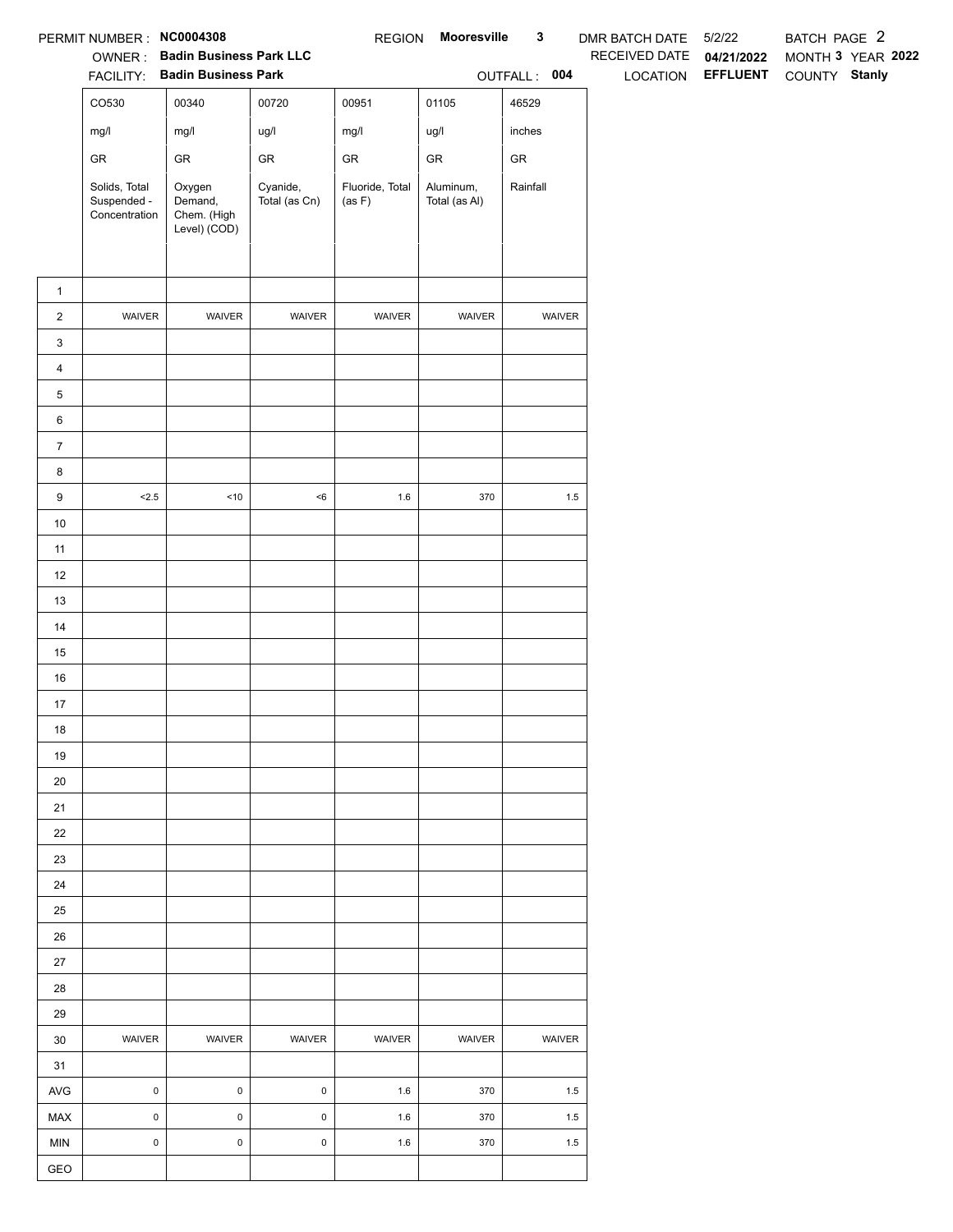|                | PERMIT NUMBER: NC0004308                      |                                                  |                           | <b>REGION</b>             | Mooresville                | 3            | DMR BATCH DATE 5/2/22 |                 | BATCH PAGE 2  |                   |
|----------------|-----------------------------------------------|--------------------------------------------------|---------------------------|---------------------------|----------------------------|--------------|-----------------------|-----------------|---------------|-------------------|
|                |                                               | OWNER: Badin Business Park LLC                   |                           |                           |                            |              | RECEIVED DATE         | 04/21/2022      |               | MONTH 3 YEAR 2022 |
|                |                                               | FACILITY: Badin Business Park                    |                           |                           |                            | OUTFALL: 004 | LOCATION              | <b>EFFLUENT</b> | COUNTY Stanly |                   |
|                | CO530                                         | 00340                                            | 00720                     | 00951                     | 01105                      | 46529        |                       |                 |               |                   |
|                | mg/l                                          | mg/l                                             | ug/l                      | mg/l                      | ug/l                       | inches       |                       |                 |               |                   |
|                | GR                                            | ${\sf GR}$                                       | ${\sf GR}$                | ${\sf GR}$                | ${\sf GR}$                 | ${\sf GR}$   |                       |                 |               |                   |
|                | Solids, Total<br>Suspended -<br>Concentration | Oxygen<br>Demand,<br>Chem. (High<br>Level) (COD) | Cyanide,<br>Total (as Cn) | Fluoride, Total<br>(as F) | Aluminum,<br>Total (as Al) | Rainfall     |                       |                 |               |                   |
| $\mathbf{1}$   |                                               |                                                  |                           |                           |                            |              |                       |                 |               |                   |
| $\overline{c}$ | WAIVER                                        | WAIVER                                           | WAIVER                    | WAIVER                    | WAIVER                     | WAIVER       |                       |                 |               |                   |
| 3              |                                               |                                                  |                           |                           |                            |              |                       |                 |               |                   |
| $\overline{4}$ |                                               |                                                  |                           |                           |                            |              |                       |                 |               |                   |
| 5              |                                               |                                                  |                           |                           |                            |              |                       |                 |               |                   |
| 6              |                                               |                                                  |                           |                           |                            |              |                       |                 |               |                   |
| $\overline{7}$ |                                               |                                                  |                           |                           |                            |              |                       |                 |               |                   |
| 8              |                                               |                                                  |                           |                           |                            |              |                       |                 |               |                   |
| 9              | < 2.5                                         | $<10$                                            | $<\!6$                    | $1.6\,$                   | 370                        | $1.5\,$      |                       |                 |               |                   |
| $10$           |                                               |                                                  |                           |                           |                            |              |                       |                 |               |                   |
| 11             |                                               |                                                  |                           |                           |                            |              |                       |                 |               |                   |
| 12             |                                               |                                                  |                           |                           |                            |              |                       |                 |               |                   |
| 13             |                                               |                                                  |                           |                           |                            |              |                       |                 |               |                   |
| 14             |                                               |                                                  |                           |                           |                            |              |                       |                 |               |                   |
| 15             |                                               |                                                  |                           |                           |                            |              |                       |                 |               |                   |
| 16             |                                               |                                                  |                           |                           |                            |              |                       |                 |               |                   |
| 17             |                                               |                                                  |                           |                           |                            |              |                       |                 |               |                   |
| 18             |                                               |                                                  |                           |                           |                            |              |                       |                 |               |                   |
| 19             |                                               |                                                  |                           |                           |                            |              |                       |                 |               |                   |
| 20             |                                               |                                                  |                           |                           |                            |              |                       |                 |               |                   |
| 21             |                                               |                                                  |                           |                           |                            |              |                       |                 |               |                   |
| 22             |                                               |                                                  |                           |                           |                            |              |                       |                 |               |                   |
| 23             |                                               |                                                  |                           |                           |                            |              |                       |                 |               |                   |
| 24             |                                               |                                                  |                           |                           |                            |              |                       |                 |               |                   |
| 25             |                                               |                                                  |                           |                           |                            |              |                       |                 |               |                   |
| 26             |                                               |                                                  |                           |                           |                            |              |                       |                 |               |                   |
| 27             |                                               |                                                  |                           |                           |                            |              |                       |                 |               |                   |
| 28             |                                               |                                                  |                           |                           |                            |              |                       |                 |               |                   |
| 29             | WAIVER                                        | WAIVER                                           | WAIVER                    | WAIVER                    | WAIVER                     | WAIVER       |                       |                 |               |                   |
| 30<br>31       |                                               |                                                  |                           |                           |                            |              |                       |                 |               |                   |
| AVG            | $\pmb{0}$                                     | $\mathsf 0$                                      | $\mathsf 0$               | 1.6                       | 370                        | 1.5          |                       |                 |               |                   |
| MAX            | $\mathsf{O}\xspace$                           | $\pmb{0}$                                        | $\mathsf 0$               | 1.6                       | 370                        | 1.5          |                       |                 |               |                   |
| <b>MIN</b>     | $\mathsf{O}\xspace$                           | $\pmb{0}$                                        | $\mathsf 0$               | 1.6                       | 370                        | 1.5          |                       |                 |               |                   |
| GEO            |                                               |                                                  |                           |                           |                            |              |                       |                 |               |                   |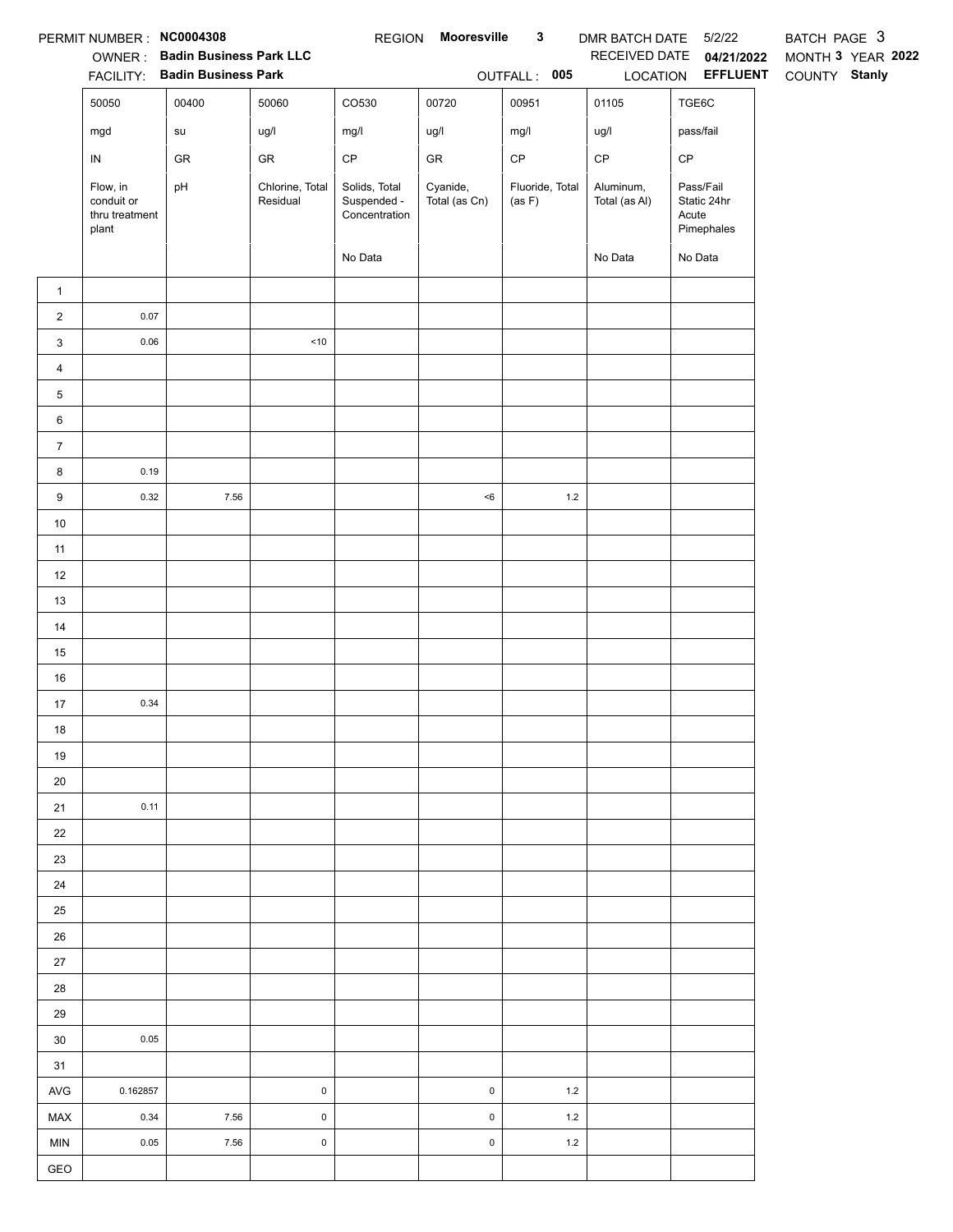|                         | PERMIT NUMBER: NC0004308                          | <b>OWNER: Badin Business Park LLC</b><br>FACILITY: Badin Business Park |                             |                                               | REGION Mooresville        | $\mathbf{3}$<br>OUTFALL: 005 | DMR BATCH DATE 5/2/22<br>LOCATION | RECEIVED DATE 04/21/2022<br><b>EFFLUENT</b>     | BATCH PAGE 3<br>MONTH 3 YEAR 2022<br>COUNTY Stanly |
|-------------------------|---------------------------------------------------|------------------------------------------------------------------------|-----------------------------|-----------------------------------------------|---------------------------|------------------------------|-----------------------------------|-------------------------------------------------|----------------------------------------------------|
|                         | 50050                                             | 00400                                                                  | 50060                       | CO530                                         | 00720                     | 00951                        | 01105                             | TGE6C                                           |                                                    |
|                         | mgd                                               | su                                                                     | ug/l                        | mg/l                                          | ug/l                      | mg/l                         | ug/l                              | pass/fail                                       |                                                    |
|                         | ${\sf IN}$                                        | GR                                                                     | GR                          | $\mathsf{CP}$                                 | GR                        | $\mathsf{CP}$                | CP                                | $\mathsf{CP}$                                   |                                                    |
|                         | Flow, in<br>conduit or<br>thru treatment<br>plant | pH                                                                     | Chlorine, Total<br>Residual | Solids, Total<br>Suspended -<br>Concentration | Cyanide,<br>Total (as Cn) | Fluoride, Total<br>(as F)    | Aluminum,<br>Total (as Al)        | Pass/Fail<br>Static 24hr<br>Acute<br>Pimephales |                                                    |
|                         |                                                   |                                                                        |                             | No Data                                       |                           |                              | No Data                           | No Data                                         |                                                    |
| $\mathbf{1}$            |                                                   |                                                                        |                             |                                               |                           |                              |                                   |                                                 |                                                    |
| $\overline{c}$          | 0.07                                              |                                                                        |                             |                                               |                           |                              |                                   |                                                 |                                                    |
| 3                       | 0.06                                              |                                                                        | $<10$                       |                                               |                           |                              |                                   |                                                 |                                                    |
| $\overline{\mathbf{4}}$ |                                                   |                                                                        |                             |                                               |                           |                              |                                   |                                                 |                                                    |
| 5                       |                                                   |                                                                        |                             |                                               |                           |                              |                                   |                                                 |                                                    |
| 6                       |                                                   |                                                                        |                             |                                               |                           |                              |                                   |                                                 |                                                    |
| $\boldsymbol{7}$        |                                                   |                                                                        |                             |                                               |                           |                              |                                   |                                                 |                                                    |
| 8                       | 0.19                                              |                                                                        |                             |                                               |                           |                              |                                   |                                                 |                                                    |
| 9                       | 0.32                                              | 7.56                                                                   |                             |                                               | $<\!6$                    | $1.2\,$                      |                                   |                                                 |                                                    |
| $10$                    |                                                   |                                                                        |                             |                                               |                           |                              |                                   |                                                 |                                                    |
| 11                      |                                                   |                                                                        |                             |                                               |                           |                              |                                   |                                                 |                                                    |
| 12                      |                                                   |                                                                        |                             |                                               |                           |                              |                                   |                                                 |                                                    |
| 13                      |                                                   |                                                                        |                             |                                               |                           |                              |                                   |                                                 |                                                    |
| 14                      |                                                   |                                                                        |                             |                                               |                           |                              |                                   |                                                 |                                                    |
| 15                      |                                                   |                                                                        |                             |                                               |                           |                              |                                   |                                                 |                                                    |
| 16                      |                                                   |                                                                        |                             |                                               |                           |                              |                                   |                                                 |                                                    |
| 17                      | 0.34                                              |                                                                        |                             |                                               |                           |                              |                                   |                                                 |                                                    |
| 18                      |                                                   |                                                                        |                             |                                               |                           |                              |                                   |                                                 |                                                    |
| 19                      |                                                   |                                                                        |                             |                                               |                           |                              |                                   |                                                 |                                                    |
| 20                      |                                                   |                                                                        |                             |                                               |                           |                              |                                   |                                                 |                                                    |
| 21                      | 0.11                                              |                                                                        |                             |                                               |                           |                              |                                   |                                                 |                                                    |
| 22                      |                                                   |                                                                        |                             |                                               |                           |                              |                                   |                                                 |                                                    |
| 23                      |                                                   |                                                                        |                             |                                               |                           |                              |                                   |                                                 |                                                    |
| 24                      |                                                   |                                                                        |                             |                                               |                           |                              |                                   |                                                 |                                                    |
| 25                      |                                                   |                                                                        |                             |                                               |                           |                              |                                   |                                                 |                                                    |
| 26                      |                                                   |                                                                        |                             |                                               |                           |                              |                                   |                                                 |                                                    |
| 27                      |                                                   |                                                                        |                             |                                               |                           |                              |                                   |                                                 |                                                    |
| 28                      |                                                   |                                                                        |                             |                                               |                           |                              |                                   |                                                 |                                                    |
| 29                      |                                                   |                                                                        |                             |                                               |                           |                              |                                   |                                                 |                                                    |
| $30\,$                  | 0.05                                              |                                                                        |                             |                                               |                           |                              |                                   |                                                 |                                                    |
| 31                      |                                                   |                                                                        |                             |                                               |                           |                              |                                   |                                                 |                                                    |
| AVG                     | 0.162857                                          |                                                                        | $\pmb{0}$                   |                                               | $\mathsf 0$               | $1.2$                        |                                   |                                                 |                                                    |
| MAX                     | 0.34                                              | 7.56                                                                   | $\mathsf 0$                 |                                               | $\mathsf 0$               | $1.2$                        |                                   |                                                 |                                                    |
| <b>MIN</b>              | 0.05                                              | 7.56                                                                   | $\mathsf 0$                 |                                               | $\mathsf 0$               | $1.2$                        |                                   |                                                 |                                                    |
| GEO                     |                                                   |                                                                        |                             |                                               |                           |                              |                                   |                                                 |                                                    |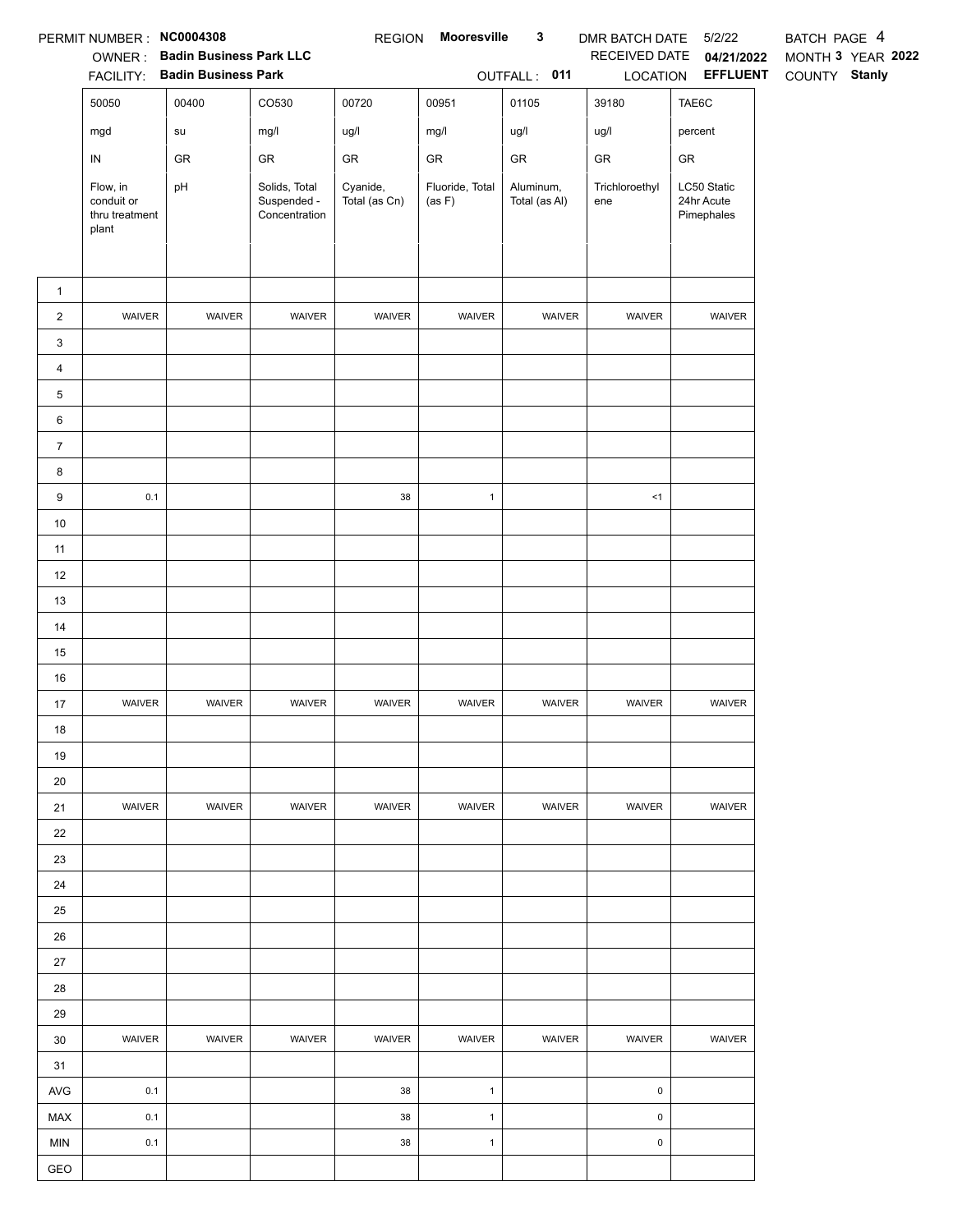|                         | PERMIT NUMBER: NC0004308                          | <b>OWNER: Badin Business Park LLC</b><br>FACILITY: Badin Business Park |                                               | <b>REGION</b>             | Mooresville               | $\mathbf{3}$<br>OUTFALL: 011 | DMR BATCH DATE<br>RECEIVED DATE<br>LOCATION | 5/2/22<br>04/21/2022<br><b>EFFLUENT</b> | BATCH PAGE 4<br>MONTH 3 YEAR 2022<br>COUNTY Stanly |
|-------------------------|---------------------------------------------------|------------------------------------------------------------------------|-----------------------------------------------|---------------------------|---------------------------|------------------------------|---------------------------------------------|-----------------------------------------|----------------------------------------------------|
|                         | 50050                                             | 00400                                                                  | CO530                                         | 00720                     | 00951                     | 01105                        | 39180                                       | TAE6C                                   |                                                    |
|                         | mgd                                               | ${\sf su}$                                                             | mg/l                                          | ug/l                      | mg/l                      | ug/l                         | ug/l                                        | percent                                 |                                                    |
|                         | ${\sf IN}$                                        | GR                                                                     | GR                                            | ${\sf GR}$                | GR                        | ${\sf GR}$                   | ${\sf GR}$                                  | GR                                      |                                                    |
|                         | Flow, in<br>conduit or<br>thru treatment<br>plant | pH                                                                     | Solids, Total<br>Suspended -<br>Concentration | Cyanide,<br>Total (as Cn) | Fluoride, Total<br>(as F) | Aluminum,<br>Total (as Al)   | Trichloroethyl<br>ene                       | LC50 Static<br>24hr Acute<br>Pimephales |                                                    |
| $\mathbf{1}$            |                                                   |                                                                        |                                               |                           |                           |                              |                                             |                                         |                                                    |
| $\overline{2}$          | <b>WAIVER</b>                                     | WAIVER                                                                 | WAIVER                                        | WAIVER                    | WAIVER                    | WAIVER                       | WAIVER                                      | WAIVER                                  |                                                    |
| 3                       |                                                   |                                                                        |                                               |                           |                           |                              |                                             |                                         |                                                    |
| $\overline{\mathbf{4}}$ |                                                   |                                                                        |                                               |                           |                           |                              |                                             |                                         |                                                    |
| 5                       |                                                   |                                                                        |                                               |                           |                           |                              |                                             |                                         |                                                    |
| 6                       |                                                   |                                                                        |                                               |                           |                           |                              |                                             |                                         |                                                    |
| $\overline{7}$          |                                                   |                                                                        |                                               |                           |                           |                              |                                             |                                         |                                                    |
| 8                       |                                                   |                                                                        |                                               |                           |                           |                              |                                             |                                         |                                                    |
| 9                       | 0.1                                               |                                                                        |                                               | 38                        | $\mathbf{1}$              |                              | <1                                          |                                         |                                                    |
| 10                      |                                                   |                                                                        |                                               |                           |                           |                              |                                             |                                         |                                                    |
| 11                      |                                                   |                                                                        |                                               |                           |                           |                              |                                             |                                         |                                                    |
| 12                      |                                                   |                                                                        |                                               |                           |                           |                              |                                             |                                         |                                                    |
| 13                      |                                                   |                                                                        |                                               |                           |                           |                              |                                             |                                         |                                                    |
| 14                      |                                                   |                                                                        |                                               |                           |                           |                              |                                             |                                         |                                                    |
| 15                      |                                                   |                                                                        |                                               |                           |                           |                              |                                             |                                         |                                                    |
| 16                      |                                                   |                                                                        |                                               |                           |                           |                              |                                             |                                         |                                                    |
| 17                      | WAIVER                                            | WAIVER                                                                 | <b>WAIVER</b>                                 | WAIVER                    | WAIVER                    | WAIVER                       | WAIVER                                      | WAIVER                                  |                                                    |
| 18                      |                                                   |                                                                        |                                               |                           |                           |                              |                                             |                                         |                                                    |
| 19                      |                                                   |                                                                        |                                               |                           |                           |                              |                                             |                                         |                                                    |
| 20                      |                                                   |                                                                        |                                               |                           |                           |                              |                                             |                                         |                                                    |
| 21                      | WAIVER                                            | <b>WAIVER</b>                                                          | WAIVER                                        | WAIVER                    | <b>WAIVER</b>             | WAIVER                       | WAIVER                                      | WAIVER                                  |                                                    |
| 22                      |                                                   |                                                                        |                                               |                           |                           |                              |                                             |                                         |                                                    |
| 23                      |                                                   |                                                                        |                                               |                           |                           |                              |                                             |                                         |                                                    |
| 24                      |                                                   |                                                                        |                                               |                           |                           |                              |                                             |                                         |                                                    |
| 25                      |                                                   |                                                                        |                                               |                           |                           |                              |                                             |                                         |                                                    |
| 26                      |                                                   |                                                                        |                                               |                           |                           |                              |                                             |                                         |                                                    |
| 27                      |                                                   |                                                                        |                                               |                           |                           |                              |                                             |                                         |                                                    |
| 28                      |                                                   |                                                                        |                                               |                           |                           |                              |                                             |                                         |                                                    |
| 29                      |                                                   |                                                                        |                                               |                           |                           |                              |                                             |                                         |                                                    |
| 30                      | <b>WAIVER</b>                                     | <b>WAIVER</b>                                                          | WAIVER                                        | WAIVER                    | <b>WAIVER</b>             | WAIVER                       | WAIVER                                      | WAIVER                                  |                                                    |
| 31                      |                                                   |                                                                        |                                               |                           |                           |                              |                                             |                                         |                                                    |
| AVG                     | 0.1                                               |                                                                        |                                               | 38                        | $\overline{1}$            |                              | $\pmb{0}$                                   |                                         |                                                    |
| MAX                     | 0.1                                               |                                                                        |                                               | 38                        | $\mathbf{1}$              |                              | $\pmb{0}$                                   |                                         |                                                    |
| <b>MIN</b>              | 0.1                                               |                                                                        |                                               | 38                        | $\mathbf{1}$              |                              | $\pmb{0}$                                   |                                         |                                                    |
| GEO                     |                                                   |                                                                        |                                               |                           |                           |                              |                                             |                                         |                                                    |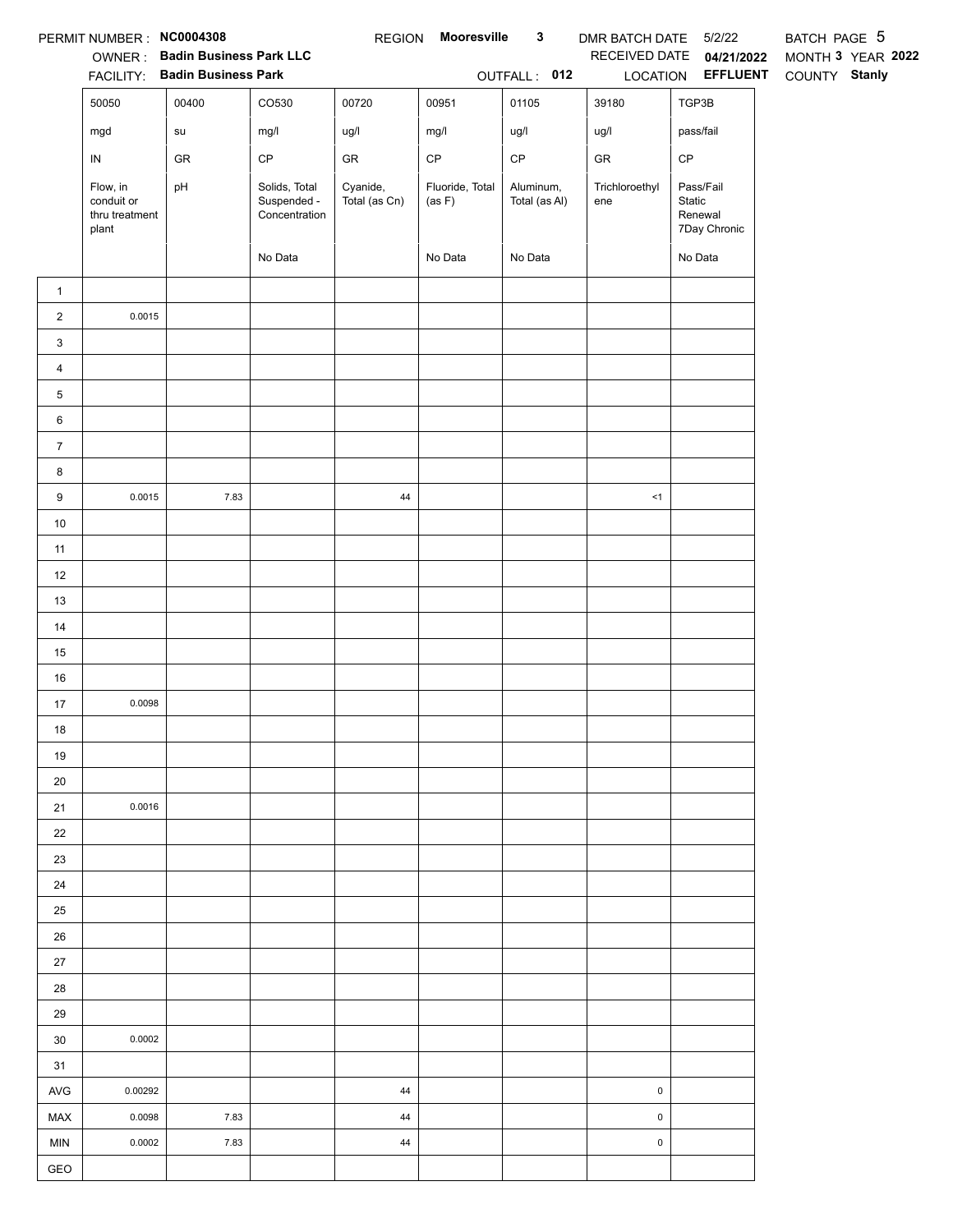|                         | PERMIT NUMBER : NC0004308                         | <b>OWNER:</b> Badin Business Park LLC<br>FACILITY: Badin Business Park |                                               |                           | REGION Mooresville        | $\mathbf{3}$<br>OUTFALL: 012 | DMR BATCH DATE 5/2/22 | RECEIVED DATE 04/21/2022<br>LOCATION EFFLUENT  | BATCH PAGE 5<br>MONTH 3 YEAR 2022<br>COUNTY Stanly |
|-------------------------|---------------------------------------------------|------------------------------------------------------------------------|-----------------------------------------------|---------------------------|---------------------------|------------------------------|-----------------------|------------------------------------------------|----------------------------------------------------|
|                         | 50050                                             | 00400                                                                  | CO530                                         | 00720                     | 00951                     | 01105                        | 39180                 | TGP3B                                          |                                                    |
|                         | mgd                                               | su                                                                     | mg/l                                          | ug/l                      | mg/l                      | ug/l                         | ug/l                  | pass/fail                                      |                                                    |
|                         | ${\sf IN}$                                        | ${\sf GR}$                                                             | CP                                            | ${\sf GR}$                | $\mathsf{CP}$             | $\mathsf{CP}$                | ${\sf GR}$            | $\mathsf{CP}$                                  |                                                    |
|                         | Flow, in<br>conduit or<br>thru treatment<br>plant | pH                                                                     | Solids, Total<br>Suspended -<br>Concentration | Cyanide,<br>Total (as Cn) | Fluoride, Total<br>(as F) | Aluminum,<br>Total (as Al)   | Trichloroethyl<br>ene | Pass/Fail<br>Static<br>Renewal<br>7Day Chronic |                                                    |
|                         |                                                   |                                                                        | No Data                                       |                           | No Data                   | No Data                      |                       | No Data                                        |                                                    |
| $\mathbf{1}$            |                                                   |                                                                        |                                               |                           |                           |                              |                       |                                                |                                                    |
| $\overline{2}$          | 0.0015                                            |                                                                        |                                               |                           |                           |                              |                       |                                                |                                                    |
| $\mathbf{3}$            |                                                   |                                                                        |                                               |                           |                           |                              |                       |                                                |                                                    |
| $\overline{\mathbf{4}}$ |                                                   |                                                                        |                                               |                           |                           |                              |                       |                                                |                                                    |
| 5                       |                                                   |                                                                        |                                               |                           |                           |                              |                       |                                                |                                                    |
| 6                       |                                                   |                                                                        |                                               |                           |                           |                              |                       |                                                |                                                    |
| $\overline{7}$          |                                                   |                                                                        |                                               |                           |                           |                              |                       |                                                |                                                    |
| 8                       |                                                   |                                                                        |                                               |                           |                           |                              |                       |                                                |                                                    |
| 9                       | 0.0015                                            | 7.83                                                                   |                                               | 44                        |                           |                              | <1                    |                                                |                                                    |
| $10$                    |                                                   |                                                                        |                                               |                           |                           |                              |                       |                                                |                                                    |
| 11                      |                                                   |                                                                        |                                               |                           |                           |                              |                       |                                                |                                                    |
| 12                      |                                                   |                                                                        |                                               |                           |                           |                              |                       |                                                |                                                    |
| 13                      |                                                   |                                                                        |                                               |                           |                           |                              |                       |                                                |                                                    |
| 14                      |                                                   |                                                                        |                                               |                           |                           |                              |                       |                                                |                                                    |
| 15                      |                                                   |                                                                        |                                               |                           |                           |                              |                       |                                                |                                                    |
| 16                      |                                                   |                                                                        |                                               |                           |                           |                              |                       |                                                |                                                    |
| 17                      | 0.0098                                            |                                                                        |                                               |                           |                           |                              |                       |                                                |                                                    |
| 18                      |                                                   |                                                                        |                                               |                           |                           |                              |                       |                                                |                                                    |
| 19                      |                                                   |                                                                        |                                               |                           |                           |                              |                       |                                                |                                                    |
| 20                      |                                                   |                                                                        |                                               |                           |                           |                              |                       |                                                |                                                    |
| 21                      | 0.0016                                            |                                                                        |                                               |                           |                           |                              |                       |                                                |                                                    |
| 22                      |                                                   |                                                                        |                                               |                           |                           |                              |                       |                                                |                                                    |
| 23                      |                                                   |                                                                        |                                               |                           |                           |                              |                       |                                                |                                                    |
| 24                      |                                                   |                                                                        |                                               |                           |                           |                              |                       |                                                |                                                    |
| 25                      |                                                   |                                                                        |                                               |                           |                           |                              |                       |                                                |                                                    |
| 26                      |                                                   |                                                                        |                                               |                           |                           |                              |                       |                                                |                                                    |
| 27                      |                                                   |                                                                        |                                               |                           |                           |                              |                       |                                                |                                                    |
| 28                      |                                                   |                                                                        |                                               |                           |                           |                              |                       |                                                |                                                    |
| 29                      |                                                   |                                                                        |                                               |                           |                           |                              |                       |                                                |                                                    |
| 30                      | 0.0002                                            |                                                                        |                                               |                           |                           |                              |                       |                                                |                                                    |
| 31                      |                                                   |                                                                        |                                               |                           |                           |                              |                       |                                                |                                                    |
| AVG                     | 0.00292                                           |                                                                        |                                               | 44                        |                           |                              | $\pmb{0}$             |                                                |                                                    |
| MAX                     | 0.0098                                            | 7.83                                                                   |                                               | 44                        |                           |                              | $\mathsf{O}\xspace$   |                                                |                                                    |
| <b>MIN</b>              | 0.0002                                            | 7.83                                                                   |                                               | 44                        |                           |                              | $\pmb{0}$             |                                                |                                                    |
| GEO                     |                                                   |                                                                        |                                               |                           |                           |                              |                       |                                                |                                                    |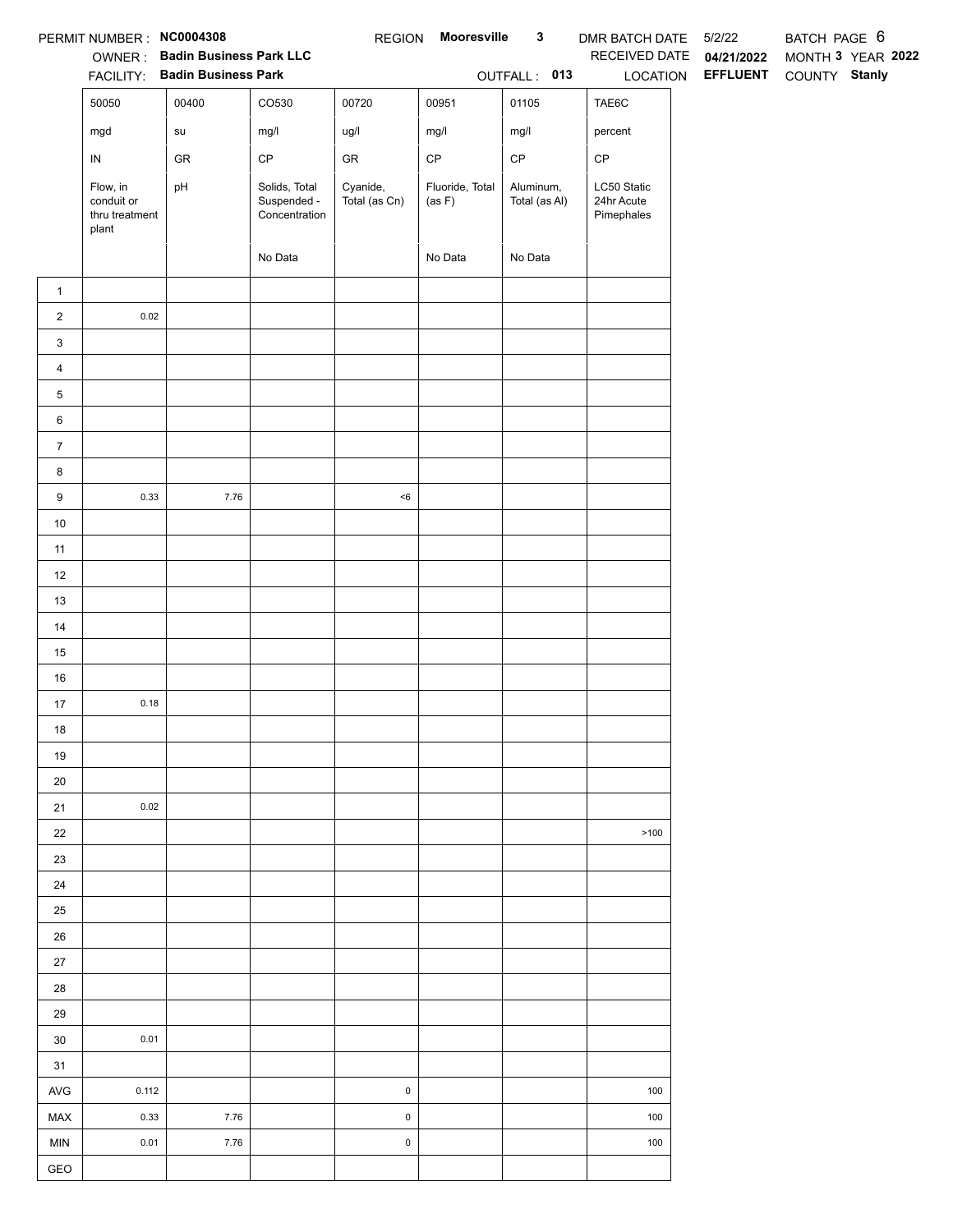|                                                                        | PERMIT NUMBER: NC0004308                          |                                |                                               | <b>REGION</b>             | Mooresville               | $\mathbf{3}$               | DMR BATCH DATE 5/2/22                   |                 | BATCH PAGE 6      |  |
|------------------------------------------------------------------------|---------------------------------------------------|--------------------------------|-----------------------------------------------|---------------------------|---------------------------|----------------------------|-----------------------------------------|-----------------|-------------------|--|
|                                                                        |                                                   | OWNER: Badin Business Park LLC |                                               |                           |                           |                            | RECEIVED DATE                           | 04/21/2022      | MONTH 3 YEAR 2022 |  |
|                                                                        |                                                   | FACILITY: Badin Business Park  |                                               |                           |                           | OUTFALL: 013               | LOCATION                                | <b>EFFLUENT</b> | COUNTY Stanly     |  |
|                                                                        | 50050                                             | 00400                          | CO530                                         | 00720                     | 00951                     | 01105                      | TAE6C                                   |                 |                   |  |
|                                                                        | mgd                                               | su                             | mg/l                                          | ug/l                      | mg/l                      | mg/l                       | percent                                 |                 |                   |  |
|                                                                        | ${\sf IN}$                                        | GR                             | $\mathsf{CP}$                                 | ${\sf GR}$                | $\mathsf{CP}$             | $\mathsf{CP}$              | $\mathsf{CP}$                           |                 |                   |  |
|                                                                        | Flow, in<br>conduit or<br>thru treatment<br>plant | pH                             | Solids, Total<br>Suspended -<br>Concentration | Cyanide,<br>Total (as Cn) | Fluoride, Total<br>(as F) | Aluminum,<br>Total (as Al) | LC50 Static<br>24hr Acute<br>Pimephales |                 |                   |  |
|                                                                        |                                                   |                                | No Data                                       |                           | No Data                   | No Data                    |                                         |                 |                   |  |
| $\mathbf{1}$                                                           |                                                   |                                |                                               |                           |                           |                            |                                         |                 |                   |  |
| $\overline{2}$                                                         | 0.02                                              |                                |                                               |                           |                           |                            |                                         |                 |                   |  |
| $\mathbf{3}$                                                           |                                                   |                                |                                               |                           |                           |                            |                                         |                 |                   |  |
| $\overline{4}$                                                         |                                                   |                                |                                               |                           |                           |                            |                                         |                 |                   |  |
| $5\phantom{.0}$                                                        |                                                   |                                |                                               |                           |                           |                            |                                         |                 |                   |  |
| $6\phantom{.0}$                                                        |                                                   |                                |                                               |                           |                           |                            |                                         |                 |                   |  |
| $\overline{7}$                                                         |                                                   |                                |                                               |                           |                           |                            |                                         |                 |                   |  |
| 8                                                                      |                                                   |                                |                                               |                           |                           |                            |                                         |                 |                   |  |
| $9\,$                                                                  | 0.33                                              | 7.76                           |                                               | $<\!6$                    |                           |                            |                                         |                 |                   |  |
| $10$                                                                   |                                                   |                                |                                               |                           |                           |                            |                                         |                 |                   |  |
| 11                                                                     |                                                   |                                |                                               |                           |                           |                            |                                         |                 |                   |  |
| 12                                                                     |                                                   |                                |                                               |                           |                           |                            |                                         |                 |                   |  |
| 13                                                                     |                                                   |                                |                                               |                           |                           |                            |                                         |                 |                   |  |
| 14                                                                     |                                                   |                                |                                               |                           |                           |                            |                                         |                 |                   |  |
| 15                                                                     |                                                   |                                |                                               |                           |                           |                            |                                         |                 |                   |  |
| $16\,$                                                                 |                                                   |                                |                                               |                           |                           |                            |                                         |                 |                   |  |
| 17                                                                     | 0.18                                              |                                |                                               |                           |                           |                            |                                         |                 |                   |  |
| 18                                                                     |                                                   |                                |                                               |                           |                           |                            |                                         |                 |                   |  |
| 19                                                                     |                                                   |                                |                                               |                           |                           |                            |                                         |                 |                   |  |
| 20                                                                     |                                                   |                                |                                               |                           |                           |                            |                                         |                 |                   |  |
| 21                                                                     | 0.02                                              |                                |                                               |                           |                           |                            |                                         |                 |                   |  |
| 22                                                                     |                                                   |                                |                                               |                           |                           |                            | >100                                    |                 |                   |  |
| 23                                                                     |                                                   |                                |                                               |                           |                           |                            |                                         |                 |                   |  |
| 24                                                                     |                                                   |                                |                                               |                           |                           |                            |                                         |                 |                   |  |
| 25                                                                     |                                                   |                                |                                               |                           |                           |                            |                                         |                 |                   |  |
| 26                                                                     |                                                   |                                |                                               |                           |                           |                            |                                         |                 |                   |  |
| $27\,$                                                                 |                                                   |                                |                                               |                           |                           |                            |                                         |                 |                   |  |
| 28                                                                     |                                                   |                                |                                               |                           |                           |                            |                                         |                 |                   |  |
| 29                                                                     |                                                   |                                |                                               |                           |                           |                            |                                         |                 |                   |  |
| $30\,$                                                                 | 0.01                                              |                                |                                               |                           |                           |                            |                                         |                 |                   |  |
| 31                                                                     |                                                   |                                |                                               |                           |                           |                            |                                         |                 |                   |  |
| AVG                                                                    | 0.112                                             |                                |                                               | $\mathsf{O}\xspace$       |                           |                            | 100                                     |                 |                   |  |
| MAX                                                                    | 0.33                                              | 7.76                           |                                               | $\mathsf 0$               |                           |                            | 100                                     |                 |                   |  |
| <b>MIN</b>                                                             | 0.01                                              | 7.76                           |                                               | $\mathsf{O}\xspace$       |                           |                            | 100                                     |                 |                   |  |
| $\mathsf{GEO}% _{\mathcal{A}}^{\ast}=\mathcal{A}_{\mathcal{A}}^{\ast}$ |                                                   |                                |                                               |                           |                           |                            |                                         |                 |                   |  |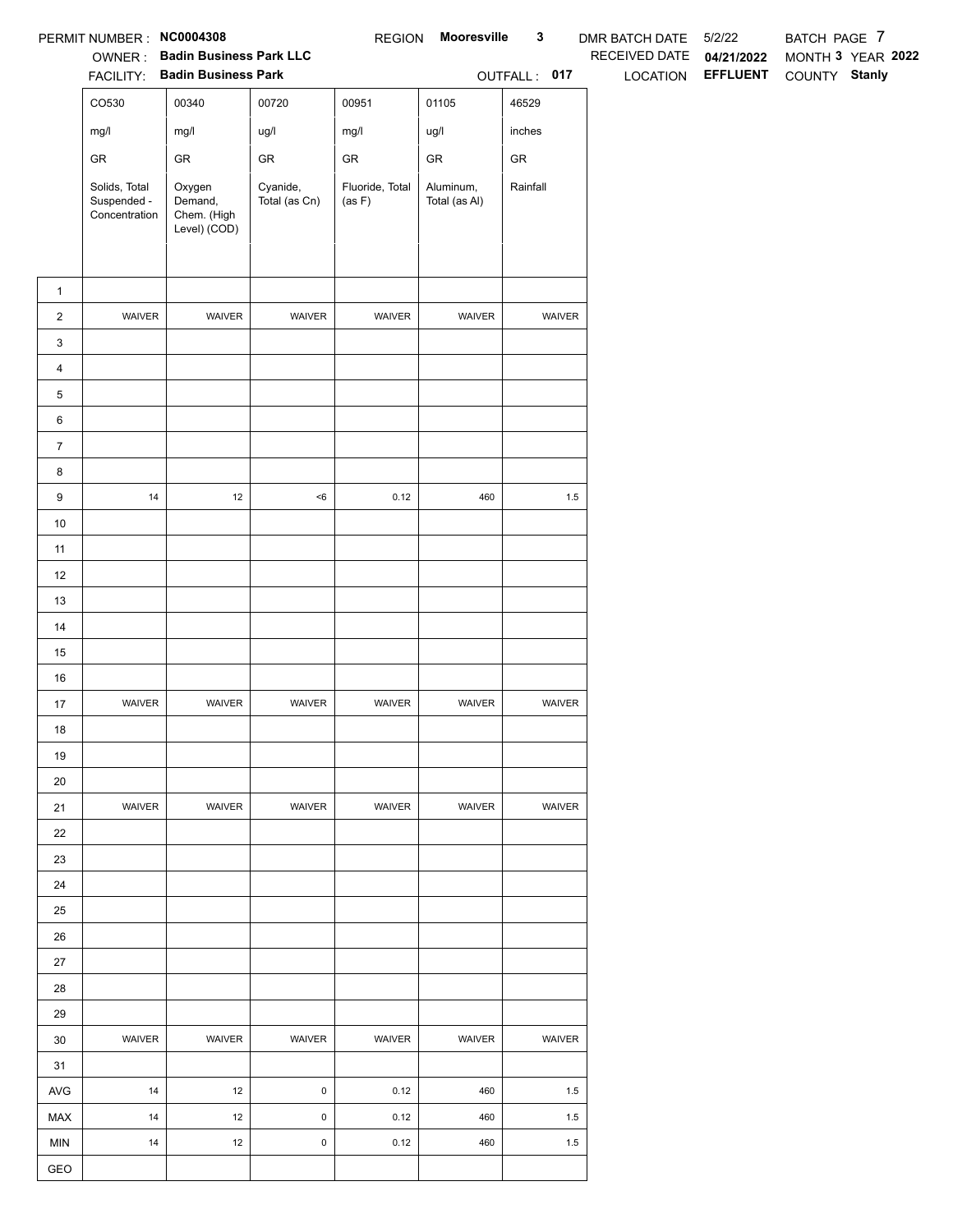|                 | PERMIT NUMBER : NC0004308                     |                                                                 |                           | <b>REGION</b>             | Mooresville                | $\mathbf{3}$ | DMR BATCH DATE | 5/2/22          | BATCH PAGE 7      |
|-----------------|-----------------------------------------------|-----------------------------------------------------------------|---------------------------|---------------------------|----------------------------|--------------|----------------|-----------------|-------------------|
|                 |                                               | OWNER: Badin Business Park LLC<br>FACILITY: Badin Business Park |                           |                           |                            |              | RECEIVED DATE  | 04/21/2022      | MONTH 3 YEAR 2022 |
|                 |                                               |                                                                 |                           |                           |                            | OUTFALL: 017 | LOCATION       | <b>EFFLUENT</b> | COUNTY Stanly     |
|                 | CO530                                         | 00340                                                           | 00720                     | 00951                     | 01105                      | 46529        |                |                 |                   |
|                 | mg/l                                          | mg/l                                                            | ug/l                      | mg/l                      | ug/l                       | inches       |                |                 |                   |
|                 | ${\sf GR}$                                    | ${\sf GR}$                                                      | ${\sf GR}$                | ${\sf GR}$                | ${\sf GR}$                 | ${\sf GR}$   |                |                 |                   |
|                 | Solids, Total<br>Suspended -<br>Concentration | Oxygen<br>Demand,<br>Chem. (High<br>Level) (COD)                | Cyanide,<br>Total (as Cn) | Fluoride, Total<br>(as F) | Aluminum,<br>Total (as Al) | Rainfall     |                |                 |                   |
| $\mathbf{1}$    |                                               |                                                                 |                           |                           |                            |              |                |                 |                   |
| $\overline{2}$  | WAIVER                                        | WAIVER                                                          | WAIVER                    | WAIVER                    | WAIVER                     | WAIVER       |                |                 |                   |
| 3               |                                               |                                                                 |                           |                           |                            |              |                |                 |                   |
| $\overline{4}$  |                                               |                                                                 |                           |                           |                            |              |                |                 |                   |
| 5               |                                               |                                                                 |                           |                           |                            |              |                |                 |                   |
| $6\phantom{.0}$ |                                               |                                                                 |                           |                           |                            |              |                |                 |                   |
| $\overline{7}$  |                                               |                                                                 |                           |                           |                            |              |                |                 |                   |
| 8               |                                               |                                                                 |                           |                           |                            |              |                |                 |                   |
| 9               | $14$                                          | $12\,$                                                          | $<\!6$                    | 0.12                      | 460                        | $1.5\,$      |                |                 |                   |
| $10$            |                                               |                                                                 |                           |                           |                            |              |                |                 |                   |
| 11              |                                               |                                                                 |                           |                           |                            |              |                |                 |                   |
| 12              |                                               |                                                                 |                           |                           |                            |              |                |                 |                   |
| 13              |                                               |                                                                 |                           |                           |                            |              |                |                 |                   |
| 14              |                                               |                                                                 |                           |                           |                            |              |                |                 |                   |
| 15              |                                               |                                                                 |                           |                           |                            |              |                |                 |                   |
| $16\,$          |                                               |                                                                 |                           |                           |                            |              |                |                 |                   |
| 17              | WAIVER                                        | WAIVER                                                          | WAIVER                    | WAIVER                    | WAIVER                     | WAIVER       |                |                 |                   |
| $18$            |                                               |                                                                 |                           |                           |                            |              |                |                 |                   |
| 19              |                                               |                                                                 |                           |                           |                            |              |                |                 |                   |
| 20              |                                               |                                                                 |                           |                           |                            |              |                |                 |                   |
| 21              | WAIVER                                        | WAIVER                                                          | <b>WAIVER</b>             | WAIVER                    | <b>WAIVER</b>              | WAIVER       |                |                 |                   |
| 22              |                                               |                                                                 |                           |                           |                            |              |                |                 |                   |
| 23              |                                               |                                                                 |                           |                           |                            |              |                |                 |                   |
| 24              |                                               |                                                                 |                           |                           |                            |              |                |                 |                   |
| 25              |                                               |                                                                 |                           |                           |                            |              |                |                 |                   |
| 26              |                                               |                                                                 |                           |                           |                            |              |                |                 |                   |
| 27              |                                               |                                                                 |                           |                           |                            |              |                |                 |                   |
| 28              |                                               |                                                                 |                           |                           |                            |              |                |                 |                   |
| 29              |                                               |                                                                 |                           |                           |                            |              |                |                 |                   |
| 30              | WAIVER                                        | WAIVER                                                          | WAIVER                    | WAIVER                    | WAIVER                     | WAIVER       |                |                 |                   |
| 31              |                                               |                                                                 |                           |                           |                            |              |                |                 |                   |
| AVG             | 14                                            | 12                                                              | $\pmb{0}$                 | 0.12                      | 460                        | 1.5          |                |                 |                   |
| MAX             | 14                                            | $12\,$                                                          | $\mathsf 0$               | 0.12                      | 460                        | 1.5          |                |                 |                   |
| MIN             | 14                                            | 12                                                              | $\mathsf 0$               | 0.12                      | 460                        | $1.5\,$      |                |                 |                   |
| GEO             |                                               |                                                                 |                           |                           |                            |              |                |                 |                   |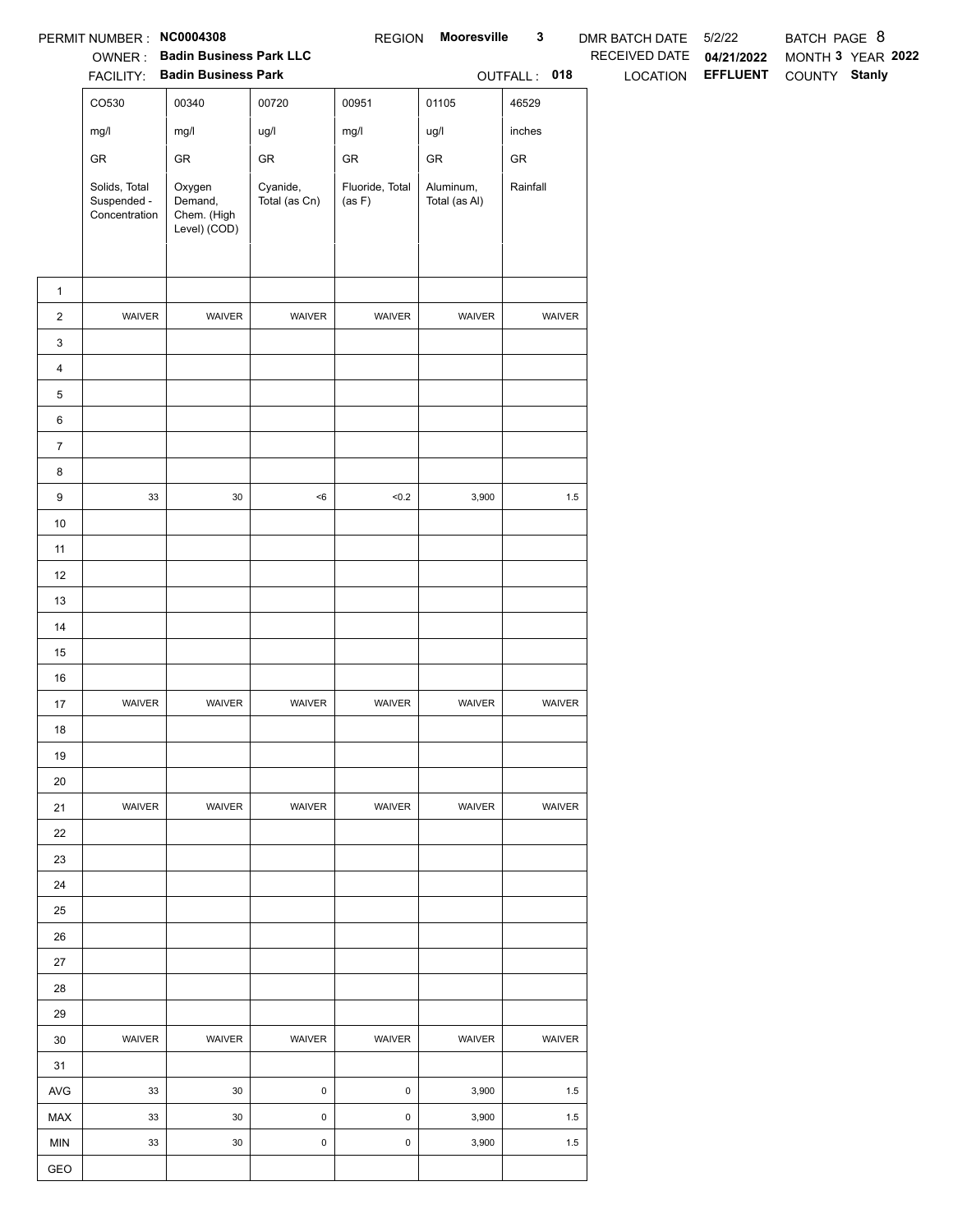|                  | PERMIT NUMBER: NC0004308                      |                                                                 |                           | <b>REGION</b>             | Mooresville                | $\mathbf{3}$  | DMR BATCH DATE  | 5/2/22                        | BATCH PAGE 8  |                   |
|------------------|-----------------------------------------------|-----------------------------------------------------------------|---------------------------|---------------------------|----------------------------|---------------|-----------------|-------------------------------|---------------|-------------------|
|                  |                                               | OWNER: Badin Business Park LLC<br>FACILITY: Badin Business Park |                           |                           |                            |               | RECEIVED DATE   | 04/21/2022<br><b>EFFLUENT</b> |               | MONTH 3 YEAR 2022 |
|                  |                                               |                                                                 |                           |                           |                            | OUTFALL: 018  | <b>LOCATION</b> |                               | COUNTY Stanly |                   |
|                  | CO530                                         | 00340                                                           | 00720                     | 00951                     | 01105                      | 46529         |                 |                               |               |                   |
|                  | mg/l                                          | mg/l                                                            | ug/l                      | mg/l                      | ug/l                       | inches        |                 |                               |               |                   |
|                  | GR                                            | ${\sf GR}$                                                      | GR                        | GR                        | GR                         | ${\sf GR}$    |                 |                               |               |                   |
|                  | Solids, Total<br>Suspended -<br>Concentration | Oxygen<br>Demand,<br>Chem. (High<br>Level) (COD)                | Cyanide,<br>Total (as Cn) | Fluoride, Total<br>(as F) | Aluminum,<br>Total (as Al) | Rainfall      |                 |                               |               |                   |
| $\mathbf{1}$     |                                               |                                                                 |                           |                           |                            |               |                 |                               |               |                   |
| $\overline{c}$   | WAIVER                                        | WAIVER                                                          | WAIVER                    | WAIVER                    | WAIVER                     | WAIVER        |                 |                               |               |                   |
| 3                |                                               |                                                                 |                           |                           |                            |               |                 |                               |               |                   |
| 4                |                                               |                                                                 |                           |                           |                            |               |                 |                               |               |                   |
| 5                |                                               |                                                                 |                           |                           |                            |               |                 |                               |               |                   |
| 6                |                                               |                                                                 |                           |                           |                            |               |                 |                               |               |                   |
| $\boldsymbol{7}$ |                                               |                                                                 |                           |                           |                            |               |                 |                               |               |                   |
| 8                |                                               |                                                                 |                           |                           |                            |               |                 |                               |               |                   |
| 9                | $33\,$                                        | $30\,$                                                          | $<\!6$                    | < 0.2                     | 3,900                      | $1.5\,$       |                 |                               |               |                   |
| $10$             |                                               |                                                                 |                           |                           |                            |               |                 |                               |               |                   |
| 11               |                                               |                                                                 |                           |                           |                            |               |                 |                               |               |                   |
| 12               |                                               |                                                                 |                           |                           |                            |               |                 |                               |               |                   |
| 13               |                                               |                                                                 |                           |                           |                            |               |                 |                               |               |                   |
| $14$             |                                               |                                                                 |                           |                           |                            |               |                 |                               |               |                   |
| 15               |                                               |                                                                 |                           |                           |                            |               |                 |                               |               |                   |
| $16\,$           |                                               |                                                                 |                           |                           |                            |               |                 |                               |               |                   |
| 17               | WAIVER                                        | WAIVER                                                          | WAIVER                    | WAIVER                    | WAIVER                     | WAIVER        |                 |                               |               |                   |
| 18               |                                               |                                                                 |                           |                           |                            |               |                 |                               |               |                   |
| 19               |                                               |                                                                 |                           |                           |                            |               |                 |                               |               |                   |
| 20               |                                               |                                                                 |                           |                           |                            |               |                 |                               |               |                   |
| 21               | <b>WAIVER</b>                                 | <b>WAIVER</b>                                                   | <b>WAIVER</b>             | <b>WAIVER</b>             | WAIVER                     | <b>WAIVER</b> |                 |                               |               |                   |
| 22               |                                               |                                                                 |                           |                           |                            |               |                 |                               |               |                   |
| 23               |                                               |                                                                 |                           |                           |                            |               |                 |                               |               |                   |
| 24               |                                               |                                                                 |                           |                           |                            |               |                 |                               |               |                   |
| 25               |                                               |                                                                 |                           |                           |                            |               |                 |                               |               |                   |
| 26               |                                               |                                                                 |                           |                           |                            |               |                 |                               |               |                   |
| 27               |                                               |                                                                 |                           |                           |                            |               |                 |                               |               |                   |
| 28               |                                               |                                                                 |                           |                           |                            |               |                 |                               |               |                   |
| 29               |                                               |                                                                 |                           |                           |                            |               |                 |                               |               |                   |
| 30               | WAIVER                                        | WAIVER                                                          | WAIVER                    | WAIVER                    | WAIVER                     | WAIVER        |                 |                               |               |                   |
| 31               |                                               |                                                                 |                           |                           |                            |               |                 |                               |               |                   |
| AVG              | 33                                            | $30\,$                                                          | $\mathsf{O}\xspace$       | $\pmb{0}$                 | 3,900                      | 1.5           |                 |                               |               |                   |
| MAX              | 33                                            | 30                                                              | 0                         | $\mathsf 0$               | 3,900                      | 1.5           |                 |                               |               |                   |
| <b>MIN</b>       | 33                                            | 30                                                              | $\mathsf{O}\xspace$       | $\mathbf 0$               | 3,900                      | 1.5           |                 |                               |               |                   |
| GEO              |                                               |                                                                 |                           |                           |                            |               |                 |                               |               |                   |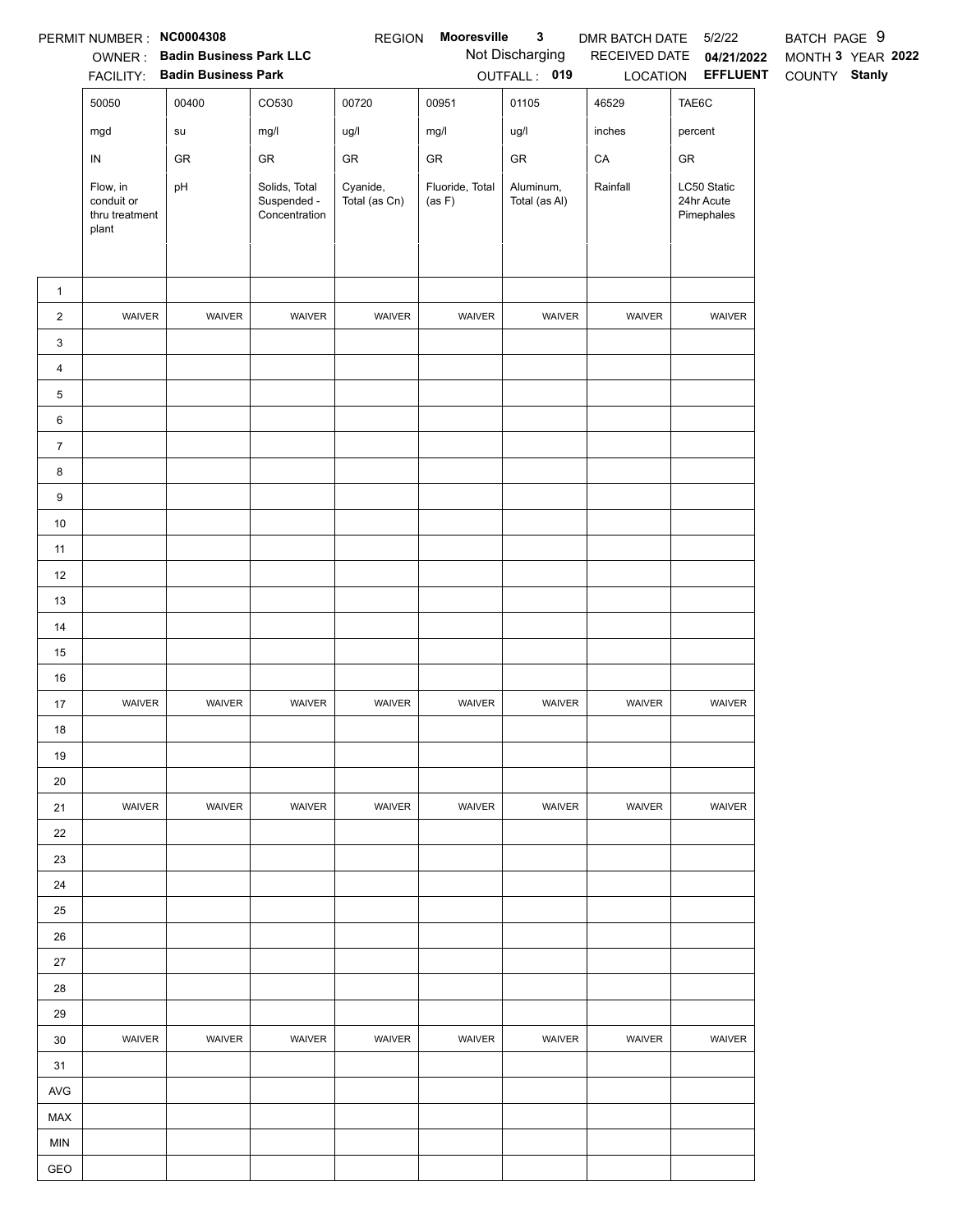|                 | PERMIT NUMBER : NC0004308                         |                                       |                                               | <b>REGION</b>             | Mooresville               | 3                          | DMR BATCH DATE | 5/2/22                                  | BATCH PAGE 9      |
|-----------------|---------------------------------------------------|---------------------------------------|-----------------------------------------------|---------------------------|---------------------------|----------------------------|----------------|-----------------------------------------|-------------------|
|                 |                                                   | <b>OWNER:</b> Badin Business Park LLC |                                               |                           |                           | Not Discharging            | RECEIVED DATE  | 04/21/2022                              | MONTH 3 YEAR 2022 |
|                 |                                                   | FACILITY: Badin Business Park         |                                               |                           |                           | OUTFALL: 019               |                | LOCATION <b>EFFLUENT</b>                | COUNTY Stanly     |
|                 | 50050                                             | 00400                                 | CO530                                         | 00720                     | 00951                     | 01105                      | 46529          | TAE6C                                   |                   |
|                 | mgd                                               | su                                    | mg/l                                          | ug/l                      | mg/l                      | ug/l                       | inches         | percent                                 |                   |
|                 | ${\sf IN}$                                        | GR                                    | GR                                            | ${\sf GR}$                | ${\sf GR}$                | ${\sf GR}$                 | CA             | ${\sf GR}$                              |                   |
|                 | Flow, in<br>conduit or<br>thru treatment<br>plant | pH                                    | Solids, Total<br>Suspended -<br>Concentration | Cyanide,<br>Total (as Cn) | Fluoride, Total<br>(as F) | Aluminum,<br>Total (as Al) | Rainfall       | LC50 Static<br>24hr Acute<br>Pimephales |                   |
|                 |                                                   |                                       |                                               |                           |                           |                            |                |                                         |                   |
| $\mathbf{1}$    | WAIVER                                            | WAIVER                                | WAIVER                                        | WAIVER                    | WAIVER                    | WAIVER                     | WAIVER         | WAIVER                                  |                   |
| $\overline{2}$  |                                                   |                                       |                                               |                           |                           |                            |                |                                         |                   |
| 3               |                                                   |                                       |                                               |                           |                           |                            |                |                                         |                   |
| $\overline{4}$  |                                                   |                                       |                                               |                           |                           |                            |                |                                         |                   |
| $5\phantom{.0}$ |                                                   |                                       |                                               |                           |                           |                            |                |                                         |                   |
| 6               |                                                   |                                       |                                               |                           |                           |                            |                |                                         |                   |
| $\overline{7}$  |                                                   |                                       |                                               |                           |                           |                            |                |                                         |                   |
| 8               |                                                   |                                       |                                               |                           |                           |                            |                |                                         |                   |
| 9               |                                                   |                                       |                                               |                           |                           |                            |                |                                         |                   |
| 10              |                                                   |                                       |                                               |                           |                           |                            |                |                                         |                   |
| 11              |                                                   |                                       |                                               |                           |                           |                            |                |                                         |                   |
| 12<br>13        |                                                   |                                       |                                               |                           |                           |                            |                |                                         |                   |
| 14              |                                                   |                                       |                                               |                           |                           |                            |                |                                         |                   |
| 15              |                                                   |                                       |                                               |                           |                           |                            |                |                                         |                   |
| $16\,$          |                                                   |                                       |                                               |                           |                           |                            |                |                                         |                   |
| $17$            | WAIVER                                            | WAIVER                                | WAIVER                                        | WAIVER                    | WAIVER                    | WAIVER                     | WAIVER         | WAIVER                                  |                   |
| $18$            |                                                   |                                       |                                               |                           |                           |                            |                |                                         |                   |
| 19              |                                                   |                                       |                                               |                           |                           |                            |                |                                         |                   |
| 20              |                                                   |                                       |                                               |                           |                           |                            |                |                                         |                   |
| 21              | WAIVER                                            | <b>WAIVER</b>                         | <b>WAIVER</b>                                 | WAIVER                    | WAIVER                    | WAIVER                     | <b>WAIVER</b>  | WAIVER                                  |                   |
| 22              |                                                   |                                       |                                               |                           |                           |                            |                |                                         |                   |
| 23              |                                                   |                                       |                                               |                           |                           |                            |                |                                         |                   |
| 24              |                                                   |                                       |                                               |                           |                           |                            |                |                                         |                   |
| 25              |                                                   |                                       |                                               |                           |                           |                            |                |                                         |                   |
| 26              |                                                   |                                       |                                               |                           |                           |                            |                |                                         |                   |
| 27              |                                                   |                                       |                                               |                           |                           |                            |                |                                         |                   |
| 28              |                                                   |                                       |                                               |                           |                           |                            |                |                                         |                   |
| 29              |                                                   |                                       |                                               |                           |                           |                            |                |                                         |                   |
| 30              | WAIVER                                            | WAIVER                                | <b>WAIVER</b>                                 | <b>WAIVER</b>             | WAIVER                    | WAIVER                     | <b>WAIVER</b>  | <b>WAIVER</b>                           |                   |
| 31              |                                                   |                                       |                                               |                           |                           |                            |                |                                         |                   |
| AVG             |                                                   |                                       |                                               |                           |                           |                            |                |                                         |                   |
| MAX             |                                                   |                                       |                                               |                           |                           |                            |                |                                         |                   |
| <b>MIN</b>      |                                                   |                                       |                                               |                           |                           |                            |                |                                         |                   |
| GEO             |                                                   |                                       |                                               |                           |                           |                            |                |                                         |                   |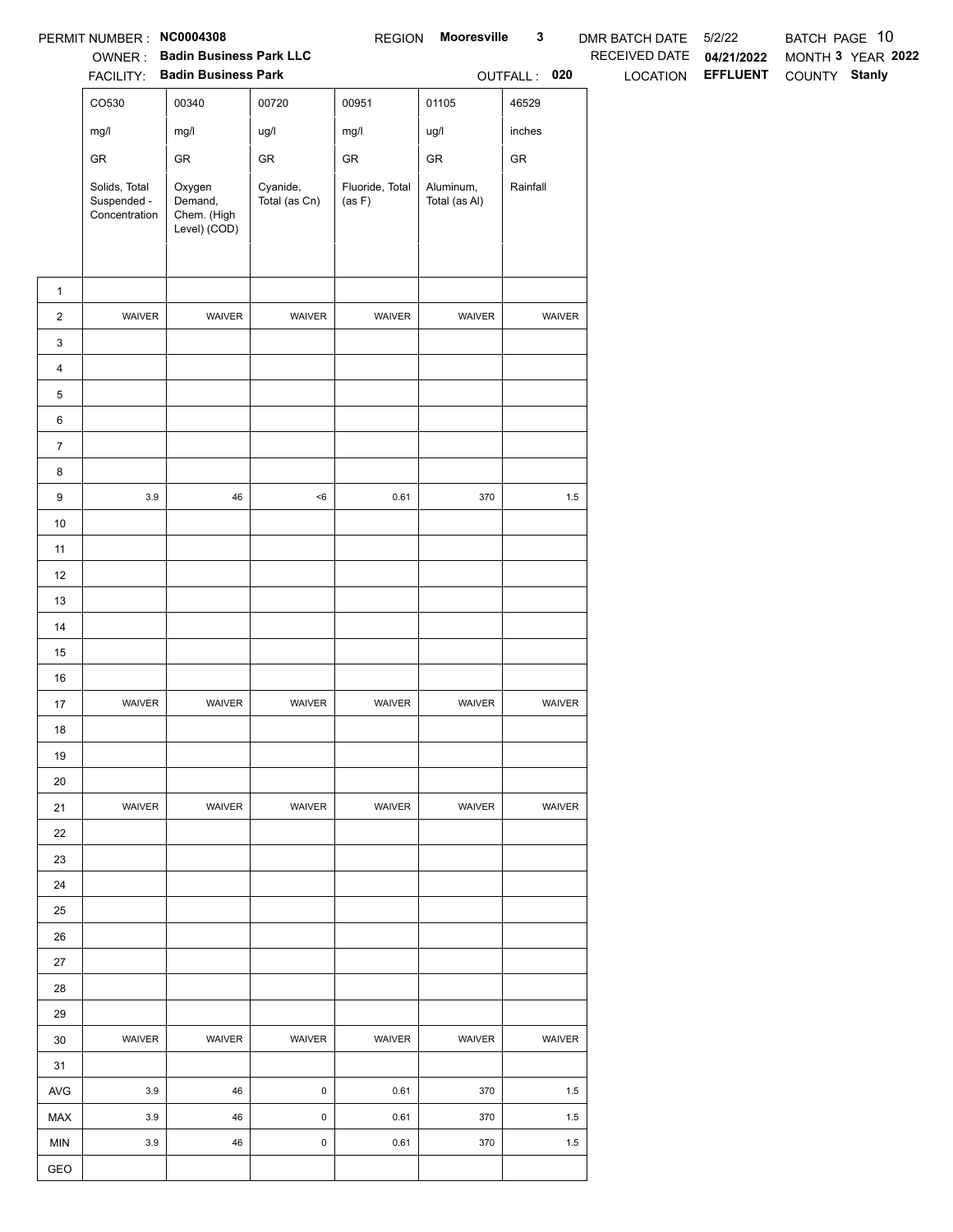|                | PERMIT NUMBER: NC0004308                      |                                                  |                           | <b>REGION</b>             | Mooresville                | $\mathbf{3}$  | DMR BATCH DATE  | 5/2/22          | BATCH PAGE 10 |                   |
|----------------|-----------------------------------------------|--------------------------------------------------|---------------------------|---------------------------|----------------------------|---------------|-----------------|-----------------|---------------|-------------------|
|                |                                               | OWNER: Badin Business Park LLC                   |                           |                           |                            |               | RECEIVED DATE   | 04/21/2022      |               | MONTH 3 YEAR 2022 |
|                |                                               | FACILITY: Badin Business Park                    |                           |                           |                            | OUTFALL: 020  | <b>LOCATION</b> | <b>EFFLUENT</b> | COUNTY Stanly |                   |
|                | CO530                                         | 00340                                            | 00720                     | 00951                     | 01105                      | 46529         |                 |                 |               |                   |
|                | mg/l                                          | mg/l                                             | ug/l                      | mg/l                      | ug/l                       | inches        |                 |                 |               |                   |
|                | GR                                            | ${\sf GR}$                                       | GR                        | GR                        | ${\sf GR}$                 | ${\sf GR}$    |                 |                 |               |                   |
|                | Solids, Total<br>Suspended -<br>Concentration | Oxygen<br>Demand,<br>Chem. (High<br>Level) (COD) | Cyanide,<br>Total (as Cn) | Fluoride, Total<br>(as F) | Aluminum,<br>Total (as Al) | Rainfall      |                 |                 |               |                   |
| $\mathbf{1}$   |                                               |                                                  |                           |                           |                            |               |                 |                 |               |                   |
| $\overline{c}$ | WAIVER                                        | WAIVER                                           | WAIVER                    | WAIVER                    | WAIVER                     | WAIVER        |                 |                 |               |                   |
| 3              |                                               |                                                  |                           |                           |                            |               |                 |                 |               |                   |
| 4              |                                               |                                                  |                           |                           |                            |               |                 |                 |               |                   |
| 5              |                                               |                                                  |                           |                           |                            |               |                 |                 |               |                   |
| 6              |                                               |                                                  |                           |                           |                            |               |                 |                 |               |                   |
| $\overline{7}$ |                                               |                                                  |                           |                           |                            |               |                 |                 |               |                   |
| 8              |                                               |                                                  |                           |                           |                            |               |                 |                 |               |                   |
| 9              | $3.9\,$                                       | 46                                               | $<\!6$                    | 0.61                      | 370                        | $1.5\,$       |                 |                 |               |                   |
| $10$           |                                               |                                                  |                           |                           |                            |               |                 |                 |               |                   |
| 11             |                                               |                                                  |                           |                           |                            |               |                 |                 |               |                   |
| 12             |                                               |                                                  |                           |                           |                            |               |                 |                 |               |                   |
| 13             |                                               |                                                  |                           |                           |                            |               |                 |                 |               |                   |
| $14$           |                                               |                                                  |                           |                           |                            |               |                 |                 |               |                   |
| 15             |                                               |                                                  |                           |                           |                            |               |                 |                 |               |                   |
| $16\,$         |                                               |                                                  |                           |                           |                            |               |                 |                 |               |                   |
| 17             | WAIVER                                        | WAIVER                                           | WAIVER                    | WAIVER                    | WAIVER                     | WAIVER        |                 |                 |               |                   |
| 18             |                                               |                                                  |                           |                           |                            |               |                 |                 |               |                   |
| 19             |                                               |                                                  |                           |                           |                            |               |                 |                 |               |                   |
| $20\,$         |                                               |                                                  |                           |                           |                            |               |                 |                 |               |                   |
| 21             | <b>WAIVER</b>                                 | <b>WAIVER</b>                                    | <b>WAIVER</b>             | <b>WAIVER</b>             | WAIVER                     | <b>WAIVER</b> |                 |                 |               |                   |
| 22             |                                               |                                                  |                           |                           |                            |               |                 |                 |               |                   |
| 23             |                                               |                                                  |                           |                           |                            |               |                 |                 |               |                   |
| 24             |                                               |                                                  |                           |                           |                            |               |                 |                 |               |                   |
| 25             |                                               |                                                  |                           |                           |                            |               |                 |                 |               |                   |
| 26             |                                               |                                                  |                           |                           |                            |               |                 |                 |               |                   |
| 27             |                                               |                                                  |                           |                           |                            |               |                 |                 |               |                   |
| 28             |                                               |                                                  |                           |                           |                            |               |                 |                 |               |                   |
| 29             |                                               |                                                  |                           |                           |                            |               |                 |                 |               |                   |
| 30             | WAIVER                                        | WAIVER                                           | WAIVER                    | WAIVER                    | WAIVER                     | WAIVER        |                 |                 |               |                   |
| 31             |                                               |                                                  |                           |                           |                            |               |                 |                 |               |                   |
| AVG            | 3.9                                           | 46                                               | $\mathsf{O}\xspace$       | 0.61                      | 370                        | 1.5           |                 |                 |               |                   |
| MAX            | $3.9\,$                                       | 46                                               | 0                         | 0.61                      | 370                        | 1.5           |                 |                 |               |                   |
| <b>MIN</b>     | $3.9\,$                                       | 46                                               | $\mathsf{O}\xspace$       | 0.61                      | 370                        | 1.5           |                 |                 |               |                   |
| GEO            |                                               |                                                  |                           |                           |                            |               |                 |                 |               |                   |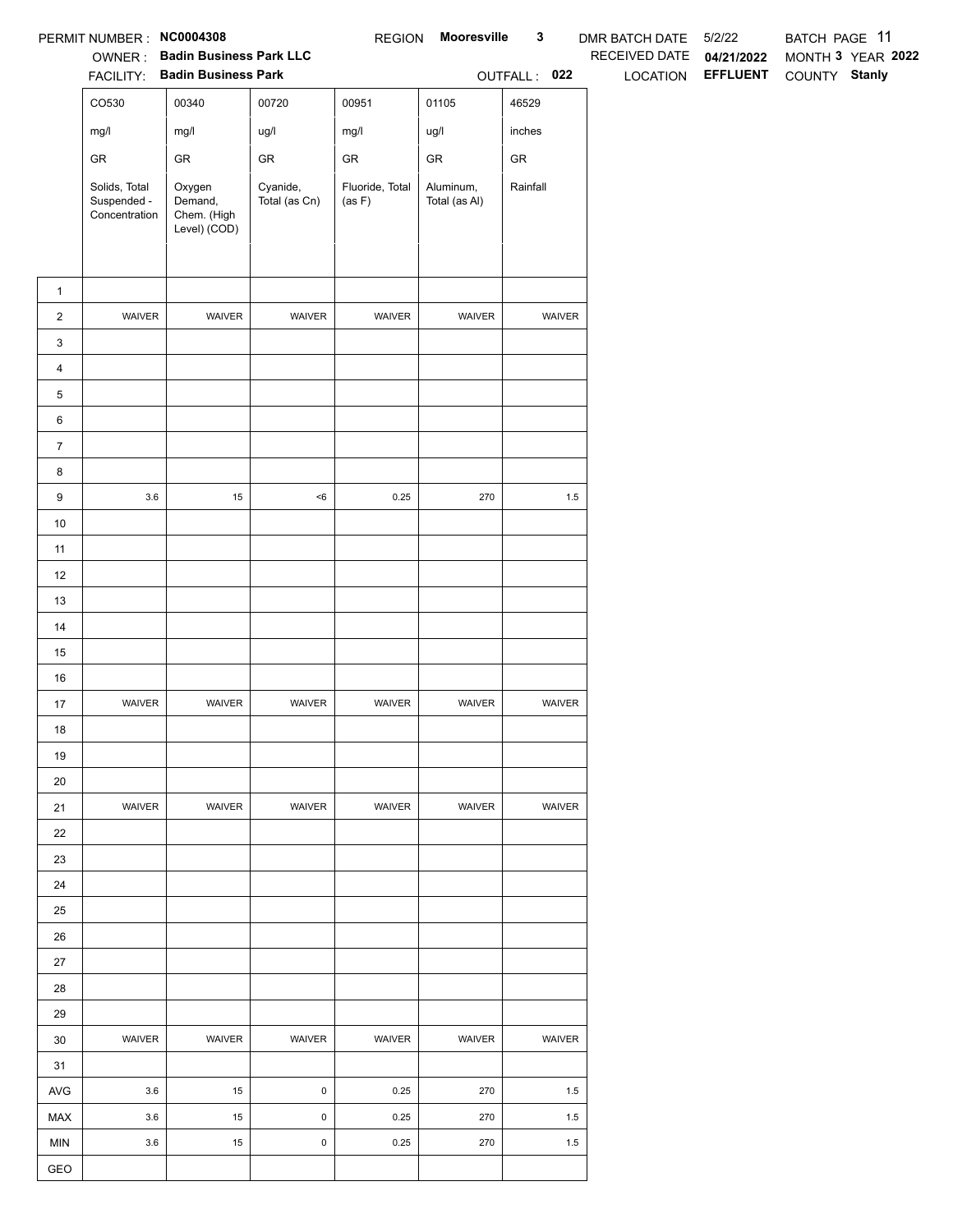|                | PERMIT NUMBER: NC0004308                      |                                                                 |                           | <b>REGION</b>             | Mooresville                | $\mathbf{3}$  | <b>DMR BATCH DATE</b>     | 5/2/22                        | BATCH PAGE 11                      |
|----------------|-----------------------------------------------|-----------------------------------------------------------------|---------------------------|---------------------------|----------------------------|---------------|---------------------------|-------------------------------|------------------------------------|
|                |                                               | OWNER: Badin Business Park LLC<br>FACILITY: Badin Business Park |                           |                           |                            | OUTFALL: 022  | RECEIVED DATE<br>LOCATION | 04/21/2022<br><b>EFFLUENT</b> | MONTH 3 YEAR 2022<br>COUNTY Stanly |
|                |                                               |                                                                 |                           |                           |                            |               |                           |                               |                                    |
|                | CO530                                         | 00340                                                           | 00720                     | 00951                     | 01105                      | 46529         |                           |                               |                                    |
|                | mg/l                                          | mg/l                                                            | ug/l                      | mg/l                      | ug/l                       | inches        |                           |                               |                                    |
|                | ${\sf GR}$                                    | ${\sf GR}$                                                      | ${\sf GR}$                | ${\sf GR}$                | ${\sf GR}$                 | ${\sf GR}$    |                           |                               |                                    |
|                | Solids, Total<br>Suspended -<br>Concentration | Oxygen<br>Demand,<br>Chem. (High<br>Level) (COD)                | Cyanide,<br>Total (as Cn) | Fluoride, Total<br>(as F) | Aluminum,<br>Total (as Al) | Rainfall      |                           |                               |                                    |
| $\mathbf{1}$   |                                               |                                                                 |                           |                           |                            |               |                           |                               |                                    |
| $\overline{2}$ | WAIVER                                        | WAIVER                                                          | WAIVER                    | WAIVER                    | WAIVER                     | WAIVER        |                           |                               |                                    |
| 3              |                                               |                                                                 |                           |                           |                            |               |                           |                               |                                    |
| 4              |                                               |                                                                 |                           |                           |                            |               |                           |                               |                                    |
| 5              |                                               |                                                                 |                           |                           |                            |               |                           |                               |                                    |
| 6              |                                               |                                                                 |                           |                           |                            |               |                           |                               |                                    |
| $\overline{7}$ |                                               |                                                                 |                           |                           |                            |               |                           |                               |                                    |
|                |                                               |                                                                 |                           |                           |                            |               |                           |                               |                                    |
| 8              | $3.6\,$                                       | 15                                                              | $<\!6$                    | 0.25                      | 270                        | $1.5\,$       |                           |                               |                                    |
| 9              |                                               |                                                                 |                           |                           |                            |               |                           |                               |                                    |
| $10$           |                                               |                                                                 |                           |                           |                            |               |                           |                               |                                    |
| 11             |                                               |                                                                 |                           |                           |                            |               |                           |                               |                                    |
| 12<br>13       |                                               |                                                                 |                           |                           |                            |               |                           |                               |                                    |
| 14             |                                               |                                                                 |                           |                           |                            |               |                           |                               |                                    |
| 15             |                                               |                                                                 |                           |                           |                            |               |                           |                               |                                    |
| $16\,$         |                                               |                                                                 |                           |                           |                            |               |                           |                               |                                    |
| 17             | WAIVER                                        | WAIVER                                                          | WAIVER                    | WAIVER                    | WAIVER                     | WAIVER        |                           |                               |                                    |
| $18$           |                                               |                                                                 |                           |                           |                            |               |                           |                               |                                    |
| 19             |                                               |                                                                 |                           |                           |                            |               |                           |                               |                                    |
| 20             |                                               |                                                                 |                           |                           |                            |               |                           |                               |                                    |
| 21             | <b>WAIVER</b>                                 | WAIVER                                                          | WAIVER                    | <b>WAIVER</b>             | WAIVER                     | <b>WAIVER</b> |                           |                               |                                    |
| 22             |                                               |                                                                 |                           |                           |                            |               |                           |                               |                                    |
| 23             |                                               |                                                                 |                           |                           |                            |               |                           |                               |                                    |
| 24             |                                               |                                                                 |                           |                           |                            |               |                           |                               |                                    |
| 25             |                                               |                                                                 |                           |                           |                            |               |                           |                               |                                    |
| 26             |                                               |                                                                 |                           |                           |                            |               |                           |                               |                                    |
| 27             |                                               |                                                                 |                           |                           |                            |               |                           |                               |                                    |
| 28             |                                               |                                                                 |                           |                           |                            |               |                           |                               |                                    |
| 29             |                                               |                                                                 |                           |                           |                            |               |                           |                               |                                    |
| 30             | WAIVER                                        | WAIVER                                                          | WAIVER                    | WAIVER                    | WAIVER                     | WAIVER        |                           |                               |                                    |
| 31             |                                               |                                                                 |                           |                           |                            |               |                           |                               |                                    |
| AVG            | 3.6                                           | 15                                                              | 0                         | 0.25                      | 270                        | 1.5           |                           |                               |                                    |
| MAX            | 3.6                                           | 15                                                              | $\mathsf 0$               | 0.25                      | 270                        | 1.5           |                           |                               |                                    |
| <b>MIN</b>     | 3.6                                           | 15                                                              | $\pmb{0}$                 | 0.25                      | 270                        | 1.5           |                           |                               |                                    |
| GEO            |                                               |                                                                 |                           |                           |                            |               |                           |                               |                                    |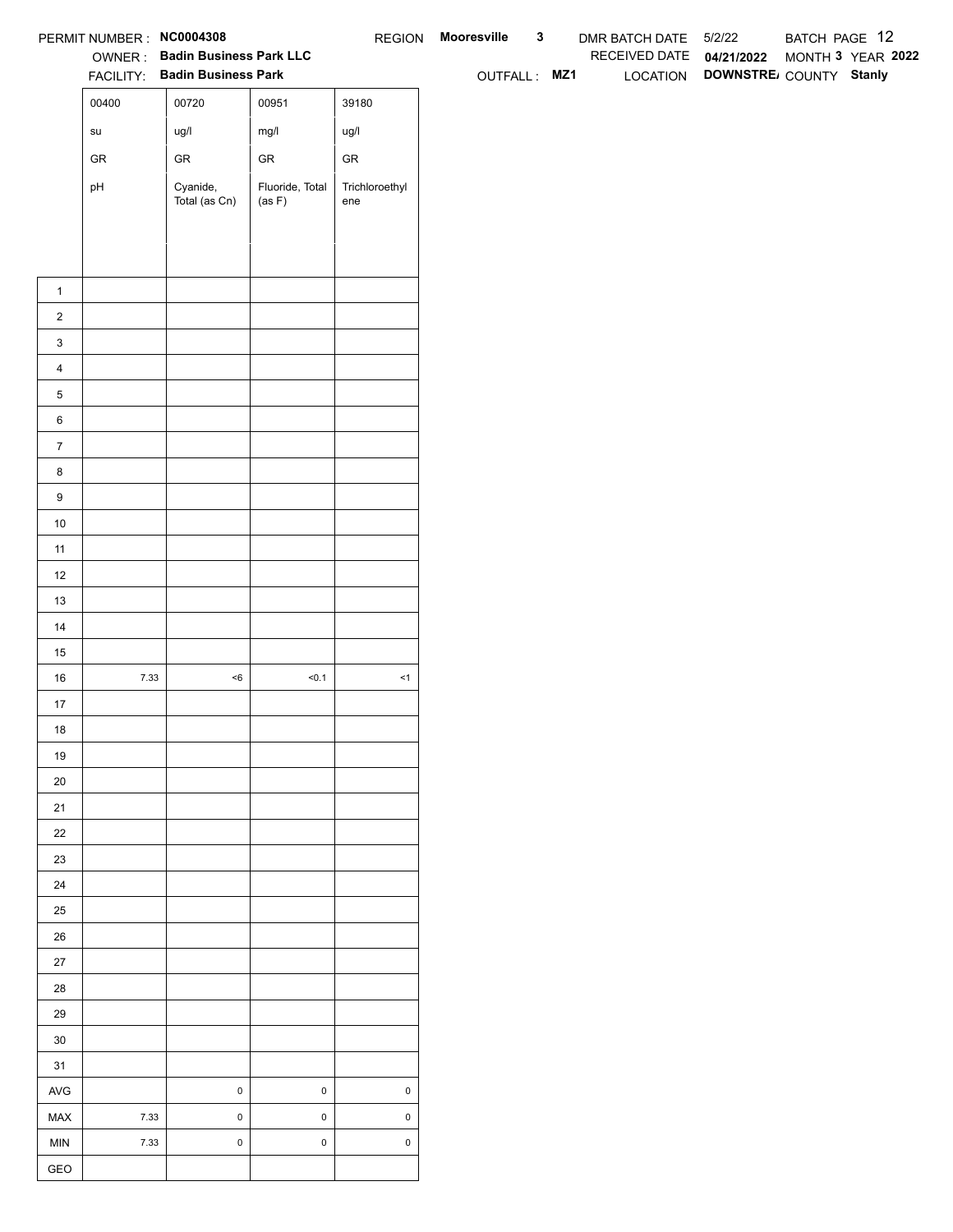|                  | PERMIT NUMBER : NC0004308             |                                |                           |                       | REGION Mooresville | $\mathbf{3}$ | DMR BATCH DATE 5/2/22    |                                 | BATCH PAGE 12     |  |
|------------------|---------------------------------------|--------------------------------|---------------------------|-----------------------|--------------------|--------------|--------------------------|---------------------------------|-------------------|--|
|                  |                                       | OWNER: Badin Business Park LLC |                           |                       |                    |              | RECEIVED DATE 04/21/2022 |                                 | MONTH 3 YEAR 2022 |  |
|                  |                                       | FACILITY: Badin Business Park  |                           |                       | OUTFALL: MZ1       |              |                          | LOCATION DOWNSTRE COUNTY Stanly |                   |  |
|                  | 00400                                 | 00720                          | 00951                     | 39180                 |                    |              |                          |                                 |                   |  |
|                  | $\operatorname{\mathsf{su}}\nolimits$ | ug/l                           | mg/l                      | ug/l                  |                    |              |                          |                                 |                   |  |
|                  | ${\sf GR}$                            | ${\sf GR}$                     | ${\sf GR}$                | ${\sf GR}$            |                    |              |                          |                                 |                   |  |
|                  | pH                                    | Cyanide,<br>Total (as Cn)      | Fluoride, Total<br>(as F) | Trichloroethyl<br>ene |                    |              |                          |                                 |                   |  |
|                  |                                       |                                |                           |                       |                    |              |                          |                                 |                   |  |
|                  |                                       |                                |                           |                       |                    |              |                          |                                 |                   |  |
|                  |                                       |                                |                           |                       |                    |              |                          |                                 |                   |  |
| $\mathbf{1}$     |                                       |                                |                           |                       |                    |              |                          |                                 |                   |  |
| $\overline{2}$   |                                       |                                |                           |                       |                    |              |                          |                                 |                   |  |
| $\mathbf{3}$     |                                       |                                |                           |                       |                    |              |                          |                                 |                   |  |
| $\overline{4}$   |                                       |                                |                           |                       |                    |              |                          |                                 |                   |  |
| $\,$ 5 $\,$      |                                       |                                |                           |                       |                    |              |                          |                                 |                   |  |
| $\,6\,$          |                                       |                                |                           |                       |                    |              |                          |                                 |                   |  |
| $\overline{7}$   |                                       |                                |                           |                       |                    |              |                          |                                 |                   |  |
| 8                |                                       |                                |                           |                       |                    |              |                          |                                 |                   |  |
| $\boldsymbol{9}$ |                                       |                                |                           |                       |                    |              |                          |                                 |                   |  |
| 10               |                                       |                                |                           |                       |                    |              |                          |                                 |                   |  |
| 11               |                                       |                                |                           |                       |                    |              |                          |                                 |                   |  |
| 12               |                                       |                                |                           |                       |                    |              |                          |                                 |                   |  |
| 13               |                                       |                                |                           |                       |                    |              |                          |                                 |                   |  |
| 14               |                                       |                                |                           |                       |                    |              |                          |                                 |                   |  |
| 15               |                                       |                                |                           |                       |                    |              |                          |                                 |                   |  |
| 16               | 7.33                                  | $<\!6$                         | 50.1                      | $\leq$ 1              |                    |              |                          |                                 |                   |  |
| $17$<br>18       |                                       |                                |                           |                       |                    |              |                          |                                 |                   |  |
| 19               |                                       |                                |                           |                       |                    |              |                          |                                 |                   |  |
| $20\,$           |                                       |                                |                           |                       |                    |              |                          |                                 |                   |  |
| 21               |                                       |                                |                           |                       |                    |              |                          |                                 |                   |  |
| $22\,$           |                                       |                                |                           |                       |                    |              |                          |                                 |                   |  |
| 23               |                                       |                                |                           |                       |                    |              |                          |                                 |                   |  |
| 24               |                                       |                                |                           |                       |                    |              |                          |                                 |                   |  |
| $25\,$           |                                       |                                |                           |                       |                    |              |                          |                                 |                   |  |
| 26               |                                       |                                |                           |                       |                    |              |                          |                                 |                   |  |
| 27               |                                       |                                |                           |                       |                    |              |                          |                                 |                   |  |
| 28               |                                       |                                |                           |                       |                    |              |                          |                                 |                   |  |
| 29               |                                       |                                |                           |                       |                    |              |                          |                                 |                   |  |
| $30\,$           |                                       |                                |                           |                       |                    |              |                          |                                 |                   |  |
| 31               |                                       |                                |                           |                       |                    |              |                          |                                 |                   |  |
| AVG              |                                       | $\mathbf 0$                    | $\mathsf 0$               | $\pmb{0}$             |                    |              |                          |                                 |                   |  |
| MAX              | 7.33                                  | $\mathbf 0$                    | $\mathsf 0$               | $\mathsf 0$           |                    |              |                          |                                 |                   |  |
| <b>MIN</b>       | 7.33                                  | $\mathbf 0$                    | $\mathsf 0$               | $\mathsf 0$           |                    |              |                          |                                 |                   |  |
| GEO              |                                       |                                |                           |                       |                    |              |                          |                                 |                   |  |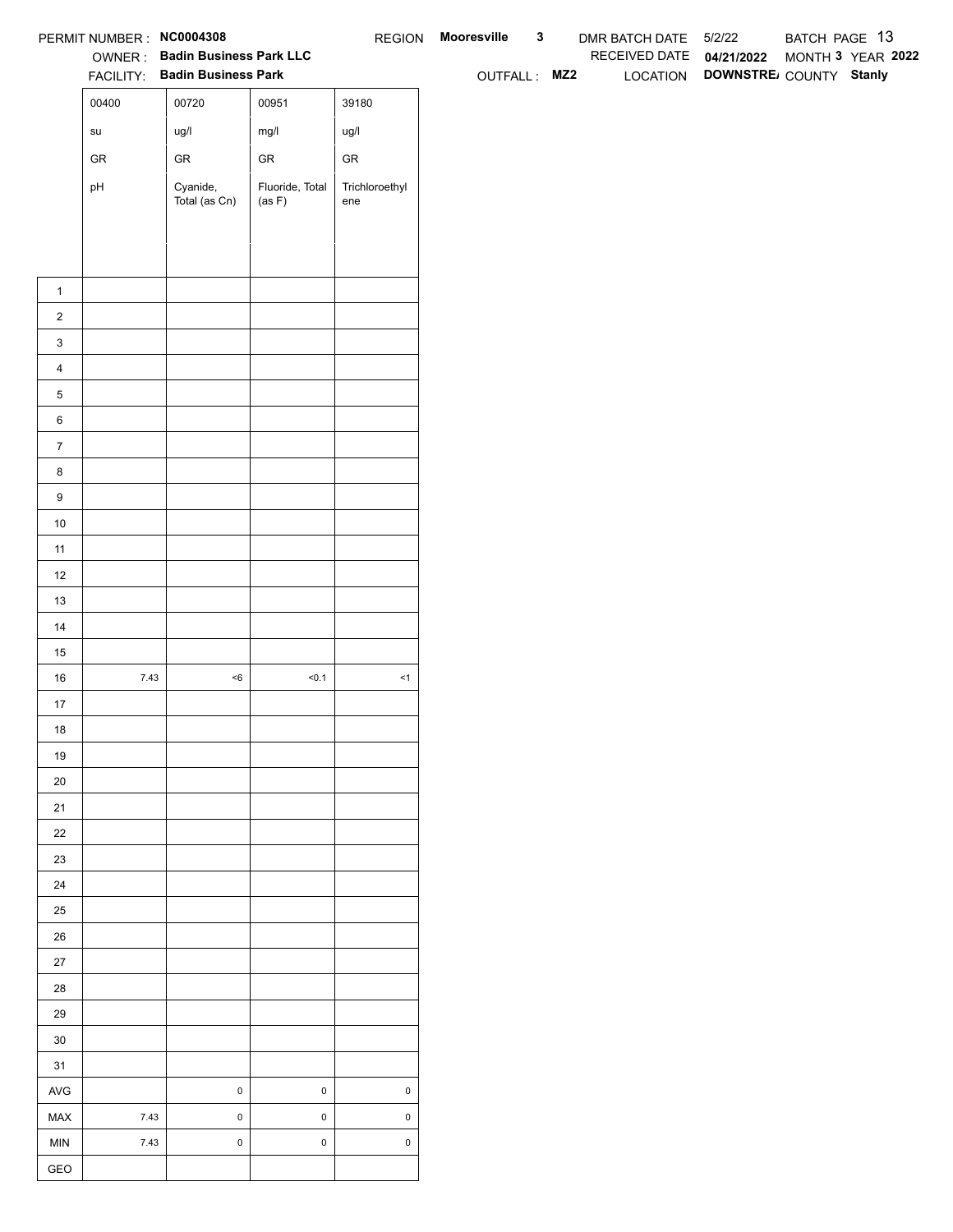|                  | PERMIT NUMBER : NC0004308             |                                |                           |                       | REGION Mooresville | $\mathbf{3}$ | DMR BATCH DATE 5/2/22    |                                 | BATCH PAGE 13 |                   |
|------------------|---------------------------------------|--------------------------------|---------------------------|-----------------------|--------------------|--------------|--------------------------|---------------------------------|---------------|-------------------|
|                  |                                       | OWNER: Badin Business Park LLC |                           |                       |                    |              | RECEIVED DATE 04/21/2022 |                                 |               | MONTH 3 YEAR 2022 |
|                  |                                       | FACILITY: Badin Business Park  |                           |                       | OUTFALL: MZ2       |              |                          | LOCATION DOWNSTRE COUNTY Stanly |               |                   |
|                  | 00400                                 | 00720                          | 00951                     | 39180                 |                    |              |                          |                                 |               |                   |
|                  | $\operatorname{\mathsf{su}}\nolimits$ | ug/l                           | mg/l                      | ug/l                  |                    |              |                          |                                 |               |                   |
|                  | ${\sf GR}$                            | ${\sf GR}$                     | ${\sf GR}$                | ${\sf GR}$            |                    |              |                          |                                 |               |                   |
|                  | pH                                    | Cyanide,<br>Total (as Cn)      | Fluoride, Total<br>(as F) | Trichloroethyl<br>ene |                    |              |                          |                                 |               |                   |
|                  |                                       |                                |                           |                       |                    |              |                          |                                 |               |                   |
|                  |                                       |                                |                           |                       |                    |              |                          |                                 |               |                   |
|                  |                                       |                                |                           |                       |                    |              |                          |                                 |               |                   |
| $\mathbf{1}$     |                                       |                                |                           |                       |                    |              |                          |                                 |               |                   |
| $\overline{2}$   |                                       |                                |                           |                       |                    |              |                          |                                 |               |                   |
| $\mathbf{3}$     |                                       |                                |                           |                       |                    |              |                          |                                 |               |                   |
| $\overline{4}$   |                                       |                                |                           |                       |                    |              |                          |                                 |               |                   |
| $\,$ 5 $\,$      |                                       |                                |                           |                       |                    |              |                          |                                 |               |                   |
| $\,6\,$          |                                       |                                |                           |                       |                    |              |                          |                                 |               |                   |
| $\overline{7}$   |                                       |                                |                           |                       |                    |              |                          |                                 |               |                   |
| 8                |                                       |                                |                           |                       |                    |              |                          |                                 |               |                   |
| $\boldsymbol{9}$ |                                       |                                |                           |                       |                    |              |                          |                                 |               |                   |
| 10               |                                       |                                |                           |                       |                    |              |                          |                                 |               |                   |
| 11               |                                       |                                |                           |                       |                    |              |                          |                                 |               |                   |
| 12               |                                       |                                |                           |                       |                    |              |                          |                                 |               |                   |
| 13               |                                       |                                |                           |                       |                    |              |                          |                                 |               |                   |
| 14               |                                       |                                |                           |                       |                    |              |                          |                                 |               |                   |
| 15<br>16         | 7.43                                  | $<\!6$                         | 50.1                      | $\leq$ 1              |                    |              |                          |                                 |               |                   |
| $17$             |                                       |                                |                           |                       |                    |              |                          |                                 |               |                   |
| 18               |                                       |                                |                           |                       |                    |              |                          |                                 |               |                   |
| 19               |                                       |                                |                           |                       |                    |              |                          |                                 |               |                   |
| $20\,$           |                                       |                                |                           |                       |                    |              |                          |                                 |               |                   |
| 21               |                                       |                                |                           |                       |                    |              |                          |                                 |               |                   |
| $22\,$           |                                       |                                |                           |                       |                    |              |                          |                                 |               |                   |
| 23               |                                       |                                |                           |                       |                    |              |                          |                                 |               |                   |
| 24               |                                       |                                |                           |                       |                    |              |                          |                                 |               |                   |
| 25               |                                       |                                |                           |                       |                    |              |                          |                                 |               |                   |
| 26               |                                       |                                |                           |                       |                    |              |                          |                                 |               |                   |
| 27               |                                       |                                |                           |                       |                    |              |                          |                                 |               |                   |
| 28               |                                       |                                |                           |                       |                    |              |                          |                                 |               |                   |
| 29               |                                       |                                |                           |                       |                    |              |                          |                                 |               |                   |
| 30               |                                       |                                |                           |                       |                    |              |                          |                                 |               |                   |
| 31               |                                       |                                |                           |                       |                    |              |                          |                                 |               |                   |
| AVG              |                                       | $\mathbf 0$                    | $\mathsf 0$               | $\pmb{0}$             |                    |              |                          |                                 |               |                   |
| MAX              | 7.43                                  | $\mathbf 0$                    | $\mathsf 0$               | $\mathsf 0$           |                    |              |                          |                                 |               |                   |
| <b>MIN</b>       | 7.43                                  | $\mathbf 0$                    | $\mathsf 0$               | $\mathsf 0$           |                    |              |                          |                                 |               |                   |
| GEO              |                                       |                                |                           |                       |                    |              |                          |                                 |               |                   |